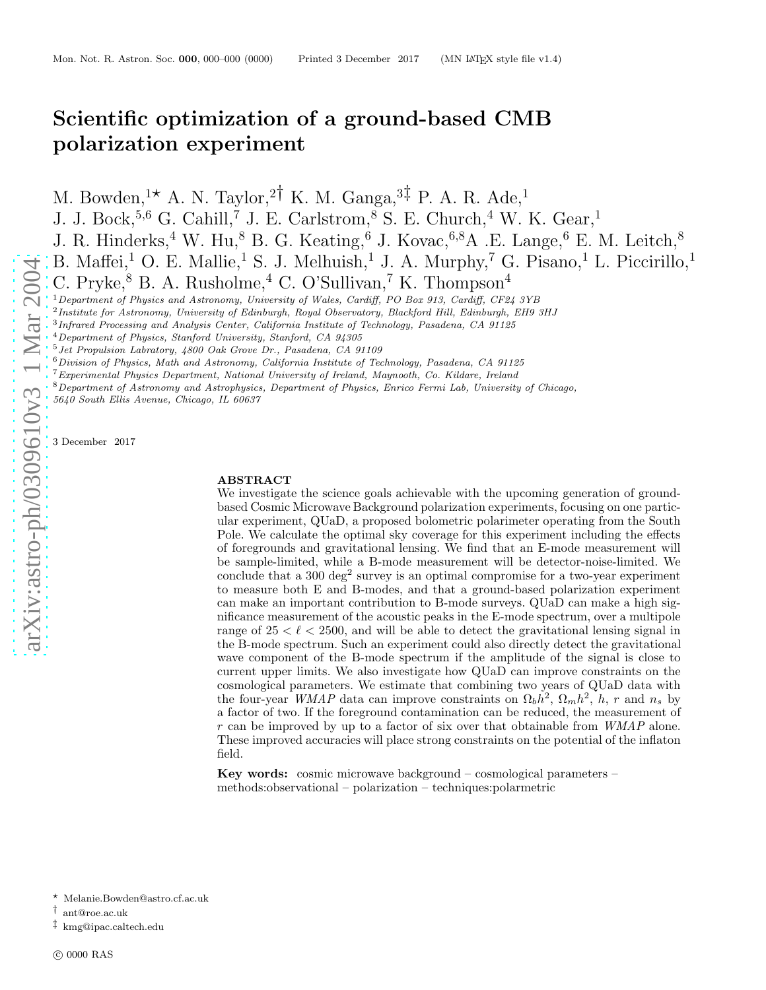# Scientific optimization of a ground-based CMB polarization experiment

M. Bowden,<sup>1\*</sup> A. N. Taylor,<sup>2†</sup> K. M. Ganga,<sup>3‡</sup> P. A. R. Ade,<sup>1</sup>

J. J. Bock,<sup>5,6</sup> G. Cahill,<sup>7</sup> J. E. Carlstrom,<sup>8</sup> S. E. Church,<sup>4</sup> W. K. Gear,<sup>1</sup>

J. R. Hinderks,<sup>4</sup> W. Hu,<sup>8</sup> B. G. Keating,<sup>6</sup> J. Kovac,<sup>6,8</sup>A .E. Lange,<sup>6</sup> E. M. Leitch,<sup>8</sup>

B. Maffei,<sup>1</sup> O. E. Mallie,<sup>1</sup> S. J. Melhuish,<sup>1</sup> J. A. Murphy,<sup>7</sup> G. Pisano,<sup>1</sup> L. Piccirillo,<sup>1</sup>

C. Pryke,<sup>8</sup> B. A. Rusholme,<sup>4</sup> C. O'Sullivan,<sup>7</sup> K. Thompson<sup>4</sup>

<sup>1</sup>Department of Physics and Astronomy, University of Wales, Cardiff, PO Box 913, Cardiff, CF24 3YB

<sup>2</sup> Institute for Astronomy, University of Edinburgh, Royal Observatory, Blackford Hill, Edinburgh, EH9 3HJ

3 Infrared Processing and Analysis Center, California Institute of Technology, Pasadena, CA 91125

 $5$  Jet Propulsion Labratory, 4800 Oak Grove Dr., Pasadena, CA 91109

 $6$ Division of Physics, Math and Astronomy, California Institute of Technology, Pasadena, CA 91125

 $7$ Experimental Physics Department, National University of Ireland, Maynooth, Co. Kildare, Ireland

 $8$ Department of Astronomy and Astrophysics, Department of Physics, Enrico Fermi Lab, University of Chicago,

5640 South Ellis Avenue, Chicago, IL 60637

3 December 2017

# ABSTRACT

We investigate the science goals achievable with the upcoming generation of groundbased Cosmic Microwave Background polarization experiments, focusing on one particular experiment, QUaD, a proposed bolometric polarimeter operating from the South Pole. We calculate the optimal sky coverage for this experiment including the effects of foregrounds and gravitational lensing. We find that an E-mode measurement will be sample-limited, while a B-mode measurement will be detector-noise-limited. We conclude that a 300 deg 2 survey is an optimal compromise for a two-year experiment to measure both E and B-modes, and that a ground-based polarization experiment can make an important contribution to B-mode surveys. QUaD can make a high significance measurement of the acoustic peaks in the E-mode spectrum, over a multipole range of  $25 < \ell < 2500$ , and will be able to detect the gravitational lensing signal in the B-mode spectrum. Such an experiment could also directly detect the gravitational wave component of the B-mode spectrum if the amplitude of the signal is close to current upper limits. We also investigate how QUaD can improve constraints on the cosmological parameters. We estimate that combining two years of QUaD data with the four-year WMAP data can improve constraints on  $\Omega_b h^2$ ,  $\Omega_m h^2$ , h, r and  $n_s$  by a factor of two. If the foreground contamination can be reduced, the measurement of r can be improved by up to a factor of six over that obtainable from WMAP alone. These improved accuracies will place strong constraints on the potential of the inflaton field.

Key words: cosmic microwave background – cosmological parameters – methods:observational – polarization – techniques:polarmetric

<sup>4</sup>Department of Physics, Stanford University, Stanford, CA 94305

<sup>⋆</sup> Melanie.Bowden@astro.cf.ac.uk

<sup>†</sup> ant@roe.ac.uk

<sup>‡</sup> kmg@ipac.caltech.edu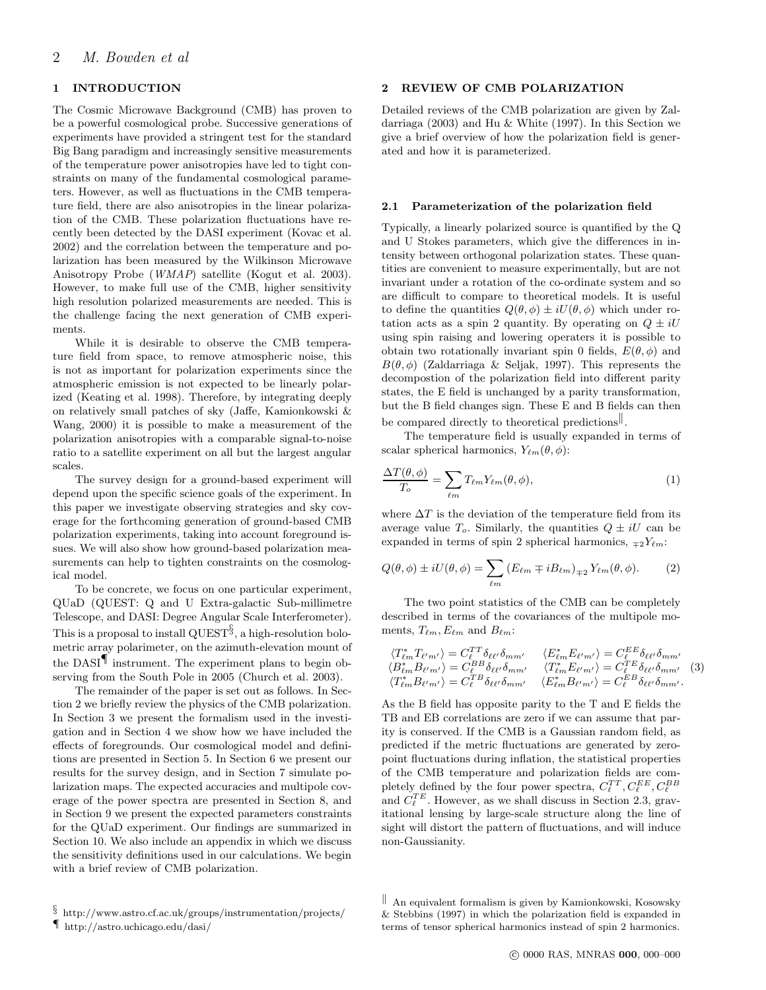# 1 INTRODUCTION

The Cosmic Microwave Background (CMB) has proven to be a powerful cosmological probe. Successive generations of experiments have provided a stringent test for the standard Big Bang paradigm and increasingly sensitive measurements of the temperature power anisotropies have led to tight constraints on many of the fundamental cosmological parameters. However, as well as fluctuations in the CMB temperature field, there are also anisotropies in the linear polarization of the CMB. These polarization fluctuations have recently been detected by the DASI experiment (Kovac et al. 2002) and the correlation between the temperature and polarization has been measured by the Wilkinson Microwave Anisotropy Probe (WMAP) satellite (Kogut et al. 2003). However, to make full use of the CMB, higher sensitivity high resolution polarized measurements are needed. This is the challenge facing the next generation of CMB experiments.

While it is desirable to observe the CMB temperature field from space, to remove atmospheric noise, this is not as important for polarization experiments since the atmospheric emission is not expected to be linearly polarized (Keating et al. 1998). Therefore, by integrating deeply on relatively small patches of sky (Jaffe, Kamionkowski & Wang, 2000) it is possible to make a measurement of the polarization anisotropies with a comparable signal-to-noise ratio to a satellite experiment on all but the largest angular scales.

The survey design for a ground-based experiment will depend upon the specific science goals of the experiment. In this paper we investigate observing strategies and sky coverage for the forthcoming generation of ground-based CMB polarization experiments, taking into account foreground issues. We will also show how ground-based polarization measurements can help to tighten constraints on the cosmological model.

To be concrete, we focus on one particular experiment, QUaD (QUEST: Q and U Extra-galactic Sub-millimetre Telescope, and DASI: Degree Angular Scale Interferometer). This is a proposal to install  $\text{QUEST}^3$ , a high-resolution bolometric array polarimeter, on the azimuth-elevation mount of the DASI $^{\P}$  instrument. The experiment plans to begin observing from the South Pole in 2005 (Church et al. 2003).

The remainder of the paper is set out as follows. In Section 2 we briefly review the physics of the CMB polarization. In Section 3 we present the formalism used in the investigation and in Section 4 we show how we have included the effects of foregrounds. Our cosmological model and definitions are presented in Section 5. In Section 6 we present our results for the survey design, and in Section 7 simulate polarization maps. The expected accuracies and multipole coverage of the power spectra are presented in Section 8, and in Section 9 we present the expected parameters constraints for the QUaD experiment. Our findings are summarized in Section 10. We also include an appendix in which we discuss the sensitivity definitions used in our calculations. We begin with a brief review of CMB polarization.

2 REVIEW OF CMB POLARIZATION

Detailed reviews of the CMB polarization are given by Zaldarriaga (2003) and Hu & White (1997). In this Section we give a brief overview of how the polarization field is generated and how it is parameterized.

#### 2.1 Parameterization of the polarization field

Typically, a linearly polarized source is quantified by the Q and U Stokes parameters, which give the differences in intensity between orthogonal polarization states. These quantities are convenient to measure experimentally, but are not invariant under a rotation of the co-ordinate system and so are difficult to compare to theoretical models. It is useful to define the quantities  $Q(\theta, \phi) \pm iU(\theta, \phi)$  which under rotation acts as a spin 2 quantity. By operating on  $Q \pm iU$ using spin raising and lowering operaters it is possible to obtain two rotationally invariant spin 0 fields,  $E(\theta, \phi)$  and  $B(\theta, \phi)$  (Zaldarriaga & Seljak, 1997). This represents the decompostion of the polarization field into different parity states, the E field is unchanged by a parity transformation, but the B field changes sign. These E and B fields can then be compared directly to theoretical predictions<sup>||</sup>.

The temperature field is usually expanded in terms of scalar spherical harmonics,  $Y_{\ell m}(\theta, \phi)$ :

$$
\frac{\Delta T(\theta,\phi)}{T_o} = \sum_{\ell m} T_{\ell m} Y_{\ell m}(\theta,\phi),\tag{1}
$$

where  $\Delta T$  is the deviation of the temperature field from its average value  $T_o$ . Similarly, the quantities  $Q \pm iU$  can be expanded in terms of spin 2 spherical harmonics,  $\overline{z_2}Y_{\ell m}$ :

$$
Q(\theta,\phi) \pm iU(\theta,\phi) = \sum_{\ell m} \left( E_{\ell m} \mp i B_{\ell m} \right)_{\mp 2} Y_{\ell m}(\theta,\phi). \tag{2}
$$

The two point statistics of the CMB can be completely described in terms of the covariances of the multipole moments,  $T_{\ell m}$ ,  $E_{\ell m}$  and  $B_{\ell m}$ :

$$
\langle T_{\ell m}^* T_{\ell' m'} \rangle = C_{\ell}^{TT} \delta_{\ell \ell'} \delta_{mm'} \qquad \langle E_{\ell m}^* E_{\ell' m'} \rangle = C_{\ell}^{EE} \delta_{\ell \ell'} \delta_{mm'} \langle B_{\ell m}^* B_{\ell' m'} \rangle = C_{\ell}^{BB} \delta_{\ell \ell'} \delta_{mm'} \qquad \langle T_{\ell m}^* E_{\ell' m'} \rangle = C_{\ell}^{TE} \delta_{\ell \ell'} \delta_{mm'} \qquad (3) \langle T_{\ell m}^* B_{\ell' m'} \rangle = C_{\ell}^{TB} \delta_{\ell \ell'} \delta_{mm'} \qquad \langle E_{\ell m}^* B_{\ell' m'} \rangle = C_{\ell}^{EB} \delta_{\ell \ell'} \delta_{mm'}.
$$

As the B field has opposite parity to the T and E fields the TB and EB correlations are zero if we can assume that parity is conserved. If the CMB is a Gaussian random field, as predicted if the metric fluctuations are generated by zeropoint fluctuations during inflation, the statistical properties of the CMB temperature and polarization fields are completely defined by the four power spectra,  $C_{\ell}^{TT}$ ,  $C_{\ell}^{EE}$ ,  $C_{\ell}^{BB}$ and  $C_{\ell}^{TE}$ . However, as we shall discuss in Section 2.3, gravitational lensing by large-scale structure along the line of sight will distort the pattern of fluctuations, and will induce non-Gaussianity.

 $\parallel$  An equivalent formalism is given by Kamionkowski, Kosowsky & Stebbins (1997) in which the polarization field is expanded in terms of tensor spherical harmonics instead of spin 2 harmonics.

c 0000 RAS, MNRAS 000, 000–000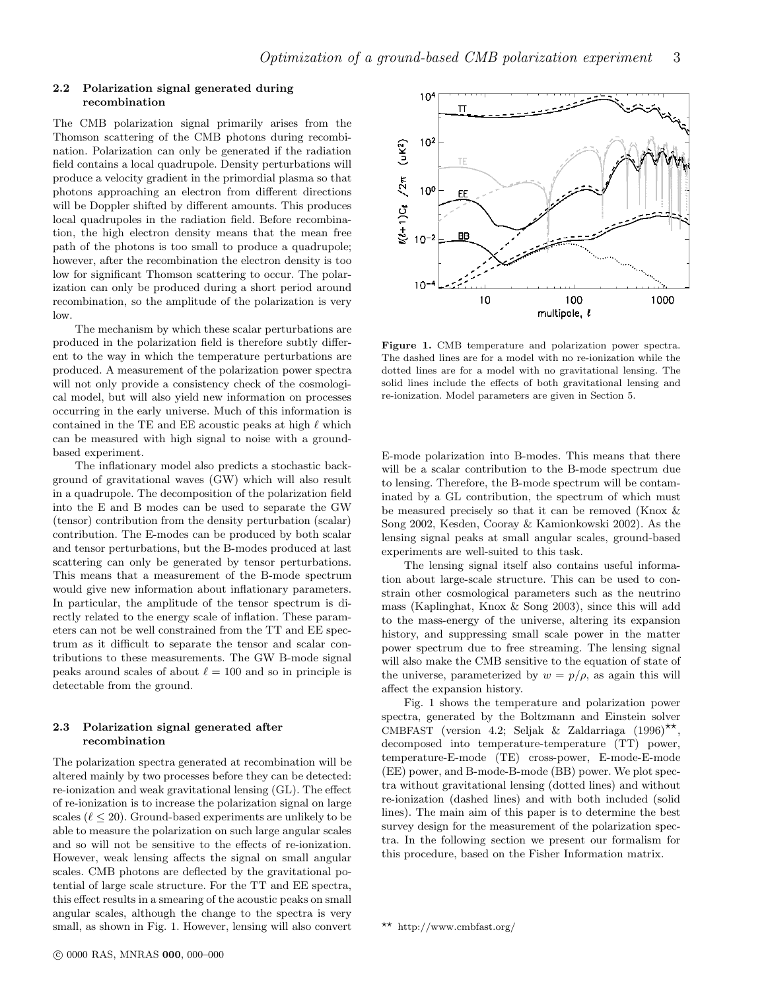## 2.2 Polarization signal generated during recombination

The CMB polarization signal primarily arises from the Thomson scattering of the CMB photons during recombination. Polarization can only be generated if the radiation field contains a local quadrupole. Density perturbations will produce a velocity gradient in the primordial plasma so that photons approaching an electron from different directions will be Doppler shifted by different amounts. This produces local quadrupoles in the radiation field. Before recombination, the high electron density means that the mean free path of the photons is too small to produce a quadrupole; however, after the recombination the electron density is too low for significant Thomson scattering to occur. The polarization can only be produced during a short period around recombination, so the amplitude of the polarization is very low.

The mechanism by which these scalar perturbations are produced in the polarization field is therefore subtly different to the way in which the temperature perturbations are produced. A measurement of the polarization power spectra will not only provide a consistency check of the cosmological model, but will also yield new information on processes occurring in the early universe. Much of this information is contained in the TE and EE acoustic peaks at high  $\ell$  which can be measured with high signal to noise with a groundbased experiment.

The inflationary model also predicts a stochastic background of gravitational waves (GW) which will also result in a quadrupole. The decomposition of the polarization field into the E and B modes can be used to separate the GW (tensor) contribution from the density perturbation (scalar) contribution. The E-modes can be produced by both scalar and tensor perturbations, but the B-modes produced at last scattering can only be generated by tensor perturbations. This means that a measurement of the B-mode spectrum would give new information about inflationary parameters. In particular, the amplitude of the tensor spectrum is directly related to the energy scale of inflation. These parameters can not be well constrained from the TT and EE spectrum as it difficult to separate the tensor and scalar contributions to these measurements. The GW B-mode signal peaks around scales of about  $\ell = 100$  and so in principle is detectable from the ground.

## 2.3 Polarization signal generated after recombination

The polarization spectra generated at recombination will be altered mainly by two processes before they can be detected: re-ionization and weak gravitational lensing (GL). The effect of re-ionization is to increase the polarization signal on large scales ( $\ell \leq 20$ ). Ground-based experiments are unlikely to be able to measure the polarization on such large angular scales and so will not be sensitive to the effects of re-ionization. However, weak lensing affects the signal on small angular scales. CMB photons are deflected by the gravitational potential of large scale structure. For the TT and EE spectra, this effect results in a smearing of the acoustic peaks on small angular scales, although the change to the spectra is very small, as shown in Fig. 1. However, lensing will also convert



Figure 1. CMB temperature and polarization power spectra. The dashed lines are for a model with no re-ionization while the dotted lines are for a model with no gravitational lensing. The solid lines include the effects of both gravitational lensing and re-ionization. Model parameters are given in Section 5.

E-mode polarization into B-modes. This means that there will be a scalar contribution to the B-mode spectrum due to lensing. Therefore, the B-mode spectrum will be contaminated by a GL contribution, the spectrum of which must be measured precisely so that it can be removed (Knox & Song 2002, Kesden, Cooray & Kamionkowski 2002). As the lensing signal peaks at small angular scales, ground-based experiments are well-suited to this task.

The lensing signal itself also contains useful information about large-scale structure. This can be used to constrain other cosmological parameters such as the neutrino mass (Kaplinghat, Knox & Song 2003), since this will add to the mass-energy of the universe, altering its expansion history, and suppressing small scale power in the matter power spectrum due to free streaming. The lensing signal will also make the CMB sensitive to the equation of state of the universe, parameterized by  $w = p/\rho$ , as again this will affect the expansion history.

Fig. 1 shows the temperature and polarization power spectra, generated by the Boltzmann and Einstein solver CMBFAST (version 4.2; Seljak & Zaldarriaga  $(1996)^{\star\star}$ , decomposed into temperature-temperature (TT) power, temperature-E-mode (TE) cross-power, E-mode-E-mode (EE) power, and B-mode-B-mode (BB) power. We plot spectra without gravitational lensing (dotted lines) and without re-ionization (dashed lines) and with both included (solid lines). The main aim of this paper is to determine the best survey design for the measurement of the polarization spectra. In the following section we present our formalism for this procedure, based on the Fisher Information matrix.

http://www.cmbfast.org/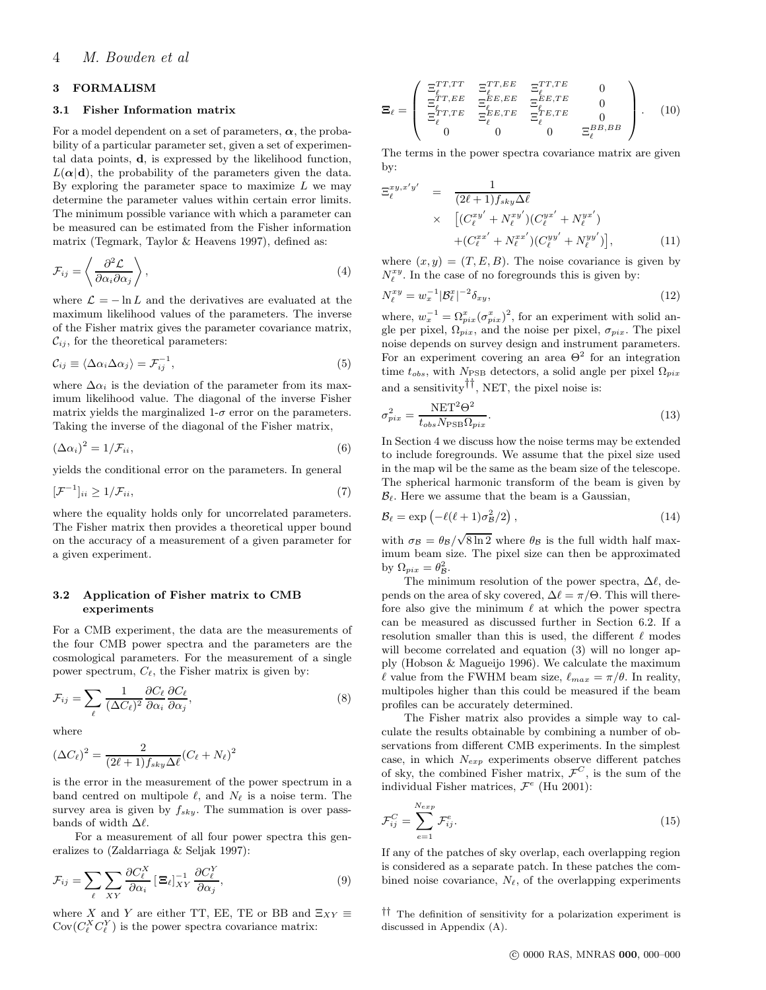## 3 FORMALISM

## 3.1 Fisher Information matrix

For a model dependent on a set of parameters,  $\alpha$ , the probability of a particular parameter set, given a set of experimental data points, d, is expressed by the likelihood function,  $L(\alpha|\mathbf{d})$ , the probability of the parameters given the data. By exploring the parameter space to maximize  $L$  we may determine the parameter values within certain error limits. The minimum possible variance with which a parameter can be measured can be estimated from the Fisher information matrix (Tegmark, Taylor & Heavens 1997), defined as:

$$
\mathcal{F}_{ij} = \left\langle \frac{\partial^2 \mathcal{L}}{\partial \alpha_i \partial \alpha_j} \right\rangle, \tag{4}
$$

where  $\mathcal{L} = -\ln L$  and the derivatives are evaluated at the maximum likelihood values of the parameters. The inverse of the Fisher matrix gives the parameter covariance matrix,  $\mathcal{C}_{ij}$ , for the theoretical parameters:

$$
\mathcal{C}_{ij} \equiv \langle \Delta \alpha_i \Delta \alpha_j \rangle = \mathcal{F}_{ij}^{-1},\tag{5}
$$

where  $\Delta \alpha_i$  is the deviation of the parameter from its maximum likelihood value. The diagonal of the inverse Fisher matrix yields the marginalized  $1-\sigma$  error on the parameters. Taking the inverse of the diagonal of the Fisher matrix,

$$
\left(\Delta \alpha_i\right)^2 = 1/\mathcal{F}_{ii},\tag{6}
$$

yields the conditional error on the parameters. In general

$$
[\mathcal{F}^{-1}]_{ii} \ge 1/\mathcal{F}_{ii},\tag{7}
$$

where the equality holds only for uncorrelated parameters. The Fisher matrix then provides a theoretical upper bound on the accuracy of a measurement of a given parameter for a given experiment.

# 3.2 Application of Fisher matrix to CMB experiments

For a CMB experiment, the data are the measurements of the four CMB power spectra and the parameters are the cosmological parameters. For the measurement of a single power spectrum,  $C_{\ell}$ , the Fisher matrix is given by:

$$
\mathcal{F}_{ij} = \sum_{\ell} \frac{1}{(\Delta C_{\ell})^2} \frac{\partial C_{\ell}}{\partial \alpha_i} \frac{\partial C_{\ell}}{\partial \alpha_j},\tag{8}
$$

where

$$
(\Delta C_{\ell})^2 = \frac{2}{(2\ell+1)f_{sky}\Delta\ell}(C_{\ell} + N_{\ell})^2
$$

is the error in the measurement of the power spectrum in a band centred on multipole  $\ell$ , and  $N_{\ell}$  is a noise term. The survey area is given by  $f_{sky}$ . The summation is over passbands of width  $\Delta \ell$ .

For a measurement of all four power spectra this generalizes to (Zaldarriaga & Seljak 1997):

$$
\mathcal{F}_{ij} = \sum_{\ell} \sum_{XY} \frac{\partial C_{\ell}^{X}}{\partial \alpha_{i}} \left[ \Xi_{\ell} \right]_{XY}^{-1} \frac{\partial C_{\ell}^{Y}}{\partial \alpha_{j}}, \qquad (9)
$$

where X and Y are either TT, EE, TE or BB and  $\Xi_{XY} \equiv$  $Cov(C_{\ell}^{X} C_{\ell}^{Y})$  is the power spectra covariance matrix:

$$
\Xi_{\ell} = \begin{pmatrix} \Xi_{\ell}^{TT,TT} & \Xi_{\ell}^{TT,EE} & \Xi_{\ell}^{TT,TE} & 0 \\ \Xi_{\ell}^{TT,EE} & \Xi_{\ell}^{EE,EE} & \Xi_{\ell}^{EE,TE} & 0 \\ \Xi_{\ell}^{TT,TE} & \Xi_{\ell}^{EE,TE} & \Xi_{\ell}^{TE,TE} & 0 \\ 0 & 0 & 0 & \Xi_{\ell}^{BB,BB} \end{pmatrix} . \quad (10)
$$

The terms in the power spectra covariance matrix are given by:

$$
\begin{aligned}\n\Xi_{\ell}^{xy,x'y'} &= \frac{1}{(2\ell+1)f_{sky}\Delta\ell} \\
&\times \quad \left[ (C_{\ell}^{xy'} + N_{\ell}^{xy'}) (C_{\ell}^{yx'} + N_{\ell}^{yx'}) \right. \\
&\quad \left. + (C_{\ell}^{xx'} + N_{\ell}^{xx'}) (C_{\ell}^{yy'} + N_{\ell}^{yy'}) \right],\n\end{aligned} \tag{11}
$$

where  $(x, y) = (T, E, B)$ . The noise covariance is given by  $N_{\ell}^{xy}$ . In the case of no foregrounds this is given by:

$$
N_{\ell}^{xy} = w_x^{-1} |\mathcal{B}_{\ell}^x|^{-2} \delta_{xy}, \tag{12}
$$

where,  $w_x^{-1} = \Omega_{pix}^x (\sigma_{pix}^x)^2$ , for an experiment with solid angle per pixel,  $\Omega_{pix}$ , and the noise per pixel,  $\sigma_{pix}$ . The pixel noise depends on survey design and instrument parameters. For an experiment covering an area  $\Theta^2$  for an integration time  $t_{obs}$ , with N<sub>PSB</sub> detectors, a solid angle per pixel  $\Omega_{pix}$ and a sensitivity<sup> $\dagger \dagger$ </sup>, NET, the pixel noise is:

$$
\sigma_{pix}^2 = \frac{\text{NET}^2 \Theta^2}{t_{obs} N_{\text{PSB}} \Omega_{pix}}.\tag{13}
$$

In Section 4 we discuss how the noise terms may be extended to include foregrounds. We assume that the pixel size used in the map wil be the same as the beam size of the telescope. The spherical harmonic transform of the beam is given by  $\mathcal{B}_{\ell}$ . Here we assume that the beam is a Gaussian,

$$
\mathcal{B}_{\ell} = \exp\left(-\ell(\ell+1)\sigma_{\mathcal{B}}^2/2\right),\tag{14}
$$

with  $\sigma_B = \theta_B / \sqrt{8 \ln 2}$  where  $\theta_B$  is the full width half maximum beam size. The pixel size can then be approximated by  $\Omega_{pix} = \theta_{\mathcal{B}}^2$ .

The minimum resolution of the power spectra,  $\Delta \ell$ , depends on the area of sky covered,  $\Delta \ell = \pi/\Theta$ . This will therefore also give the minimum  $\ell$  at which the power spectra can be measured as discussed further in Section 6.2. If a resolution smaller than this is used, the different  $\ell$  modes will become correlated and equation (3) will no longer apply (Hobson & Magueijo 1996). We calculate the maximum  $\ell$  value from the FWHM beam size,  $\ell_{max} = \pi/\theta$ . In reality, multipoles higher than this could be measured if the beam profiles can be accurately determined.

The Fisher matrix also provides a simple way to calculate the results obtainable by combining a number of observations from different CMB experiments. In the simplest case, in which  $N_{exp}$  experiments observe different patches of sky, the combined Fisher matrix,  $\mathcal{F}^C$ , is the sum of the individual Fisher matrices,  $\mathcal{F}^e$  (Hu 2001):

$$
\mathcal{F}_{ij}^C = \sum_{e=1}^{N_{exp}} \mathcal{F}_{ij}^e.
$$
 (15)

If any of the patches of sky overlap, each overlapping region is considered as a separate patch. In these patches the combined noise covariance,  $N_{\ell}$ , of the overlapping experiments

†† The definition of sensitivity for a polarization experiment is discussed in Appendix (A).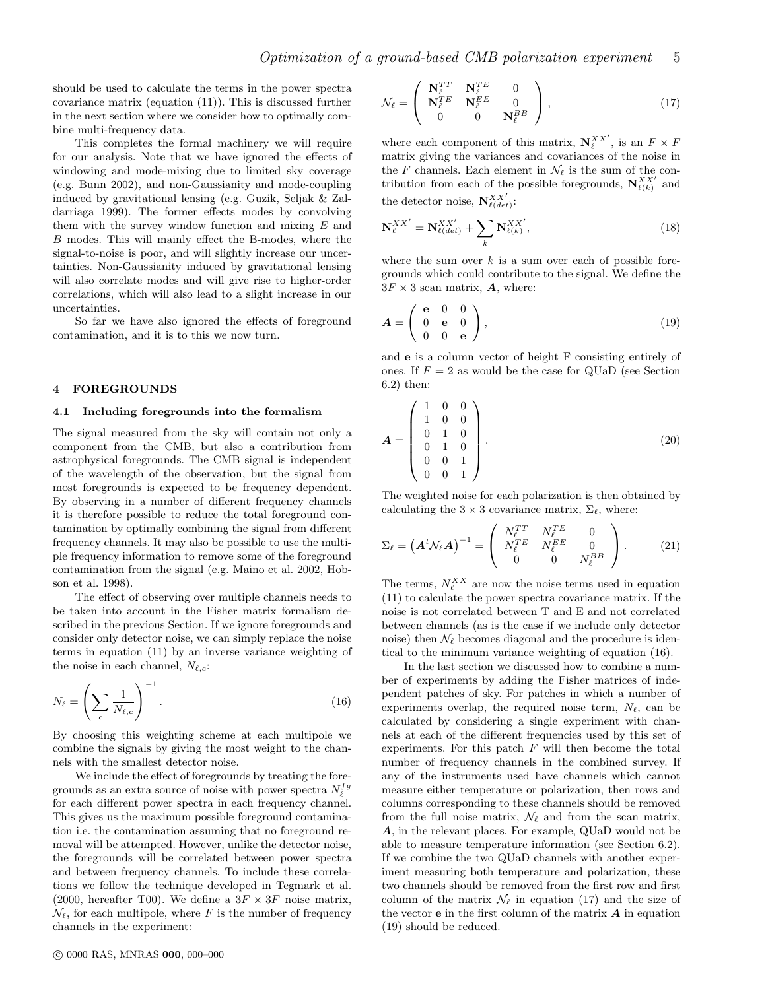should be used to calculate the terms in the power spectra covariance matrix (equation (11)). This is discussed further in the next section where we consider how to optimally combine multi-frequency data.

This completes the formal machinery we will require for our analysis. Note that we have ignored the effects of windowing and mode-mixing due to limited sky coverage (e.g. Bunn 2002), and non-Gaussianity and mode-coupling induced by gravitational lensing (e.g. Guzik, Seljak & Zaldarriaga 1999). The former effects modes by convolving them with the survey window function and mixing  $E$  and B modes. This will mainly effect the B-modes, where the signal-to-noise is poor, and will slightly increase our uncertainties. Non-Gaussianity induced by gravitational lensing will also correlate modes and will give rise to higher-order correlations, which will also lead to a slight increase in our uncertainties.

So far we have also ignored the effects of foreground contamination, and it is to this we now turn.

#### 4 FOREGROUNDS

#### 4.1 Including foregrounds into the formalism

The signal measured from the sky will contain not only a component from the CMB, but also a contribution from astrophysical foregrounds. The CMB signal is independent of the wavelength of the observation, but the signal from most foregrounds is expected to be frequency dependent. By observing in a number of different frequency channels it is therefore possible to reduce the total foreground contamination by optimally combining the signal from different frequency channels. It may also be possible to use the multiple frequency information to remove some of the foreground contamination from the signal (e.g. Maino et al. 2002, Hobson et al. 1998).

The effect of observing over multiple channels needs to be taken into account in the Fisher matrix formalism described in the previous Section. If we ignore foregrounds and consider only detector noise, we can simply replace the noise terms in equation (11) by an inverse variance weighting of the noise in each channel,  $N_{\ell,c}$ :

$$
N_{\ell} = \left(\sum_{c} \frac{1}{N_{\ell,c}}\right)^{-1}.\tag{16}
$$

By choosing this weighting scheme at each multipole we combine the signals by giving the most weight to the channels with the smallest detector noise.

We include the effect of foregrounds by treating the foregrounds as an extra source of noise with power spectra  $N_{\ell}^{fg}$ for each different power spectra in each frequency channel. This gives us the maximum possible foreground contamination i.e. the contamination assuming that no foreground removal will be attempted. However, unlike the detector noise, the foregrounds will be correlated between power spectra and between frequency channels. To include these correlations we follow the technique developed in Tegmark et al. (2000, hereafter T00). We define a  $3F \times 3F$  noise matrix,  $\mathcal{N}_{\ell}$ , for each multipole, where F is the number of frequency channels in the experiment:

$$
\mathcal{N}_{\ell} = \left( \begin{array}{ccc} \mathbf{N}_{\ell}^{TT} & \mathbf{N}_{\ell}^{TE} & 0 \\ \mathbf{N}_{\ell}^{TE} & \mathbf{N}_{\ell}^{EE} & 0 \\ 0 & 0 & \mathbf{N}_{\ell}^{BB} \end{array} \right), \tag{17}
$$

where each component of this matrix,  $N_{\ell}^{XX'}$ , is an  $F \times F$ matrix giving the variances and covariances of the noise in the F channels. Each element in  $\mathcal{N}_{\ell}$  is the sum of the contribution from each of the possible foregrounds,  $N_{\ell(k)}^{XX'}$  and the detector noise,  $\mathbf{N}_{\ell (det)}^{XX'}$ :

$$
\mathbf{N}_{\ell}^{XX'} = \mathbf{N}_{\ell(det)}^{XX'} + \sum_{k} \mathbf{N}_{\ell(k)}^{XX'},
$$
\n(18)

where the sum over  $k$  is a sum over each of possible foregrounds which could contribute to the signal. We define the  $3F \times 3$  scan matrix, **A**, where:

$$
\mathbf{A} = \left( \begin{array}{ccc} \mathbf{e} & 0 & 0 \\ 0 & \mathbf{e} & 0 \\ 0 & 0 & \mathbf{e} \end{array} \right),\tag{19}
$$

and e is a column vector of height F consisting entirely of ones. If  $F = 2$  as would be the case for QUaD (see Section 6.2) then:

$$
\mathbf{A} = \begin{pmatrix} 1 & 0 & 0 \\ 1 & 0 & 0 \\ 0 & 1 & 0 \\ 0 & 1 & 0 \\ 0 & 0 & 1 \\ 0 & 0 & 1 \end{pmatrix} . \tag{20}
$$

 $\overline{z}$ 

The weighted noise for each polarization is then obtained by calculating the  $3 \times 3$  covariance matrix,  $\Sigma_{\ell}$ , where:

$$
\Sigma_{\ell} = \left(\boldsymbol{A}^t \mathcal{N}_{\ell} \boldsymbol{A}\right)^{-1} = \left(\begin{array}{ccc} N_{\ell}^{TT} & N_{\ell}^{TE} & 0\\ N_{\ell}^{TE} & N_{\ell}^{EE} & 0\\ 0 & 0 & N_{\ell}^{BB} \end{array}\right). \tag{21}
$$

The terms,  $N_{\ell}^{XX}$  are now the noise terms used in equation (11) to calculate the power spectra covariance matrix. If the noise is not correlated between T and E and not correlated between channels (as is the case if we include only detector noise) then  $\mathcal{N}_{\ell}$  becomes diagonal and the procedure is identical to the minimum variance weighting of equation (16).

In the last section we discussed how to combine a number of experiments by adding the Fisher matrices of independent patches of sky. For patches in which a number of experiments overlap, the required noise term,  $N_{\ell}$ , can be calculated by considering a single experiment with channels at each of the different frequencies used by this set of experiments. For this patch  $F$  will then become the total number of frequency channels in the combined survey. If any of the instruments used have channels which cannot measure either temperature or polarization, then rows and columns corresponding to these channels should be removed from the full noise matrix,  $\mathcal{N}_{\ell}$  and from the scan matrix, A, in the relevant places. For example, QUaD would not be able to measure temperature information (see Section 6.2). If we combine the two QUaD channels with another experiment measuring both temperature and polarization, these two channels should be removed from the first row and first column of the matrix  $\mathcal{N}_{\ell}$  in equation (17) and the size of the vector  $e$  in the first column of the matrix  $A$  in equation (19) should be reduced.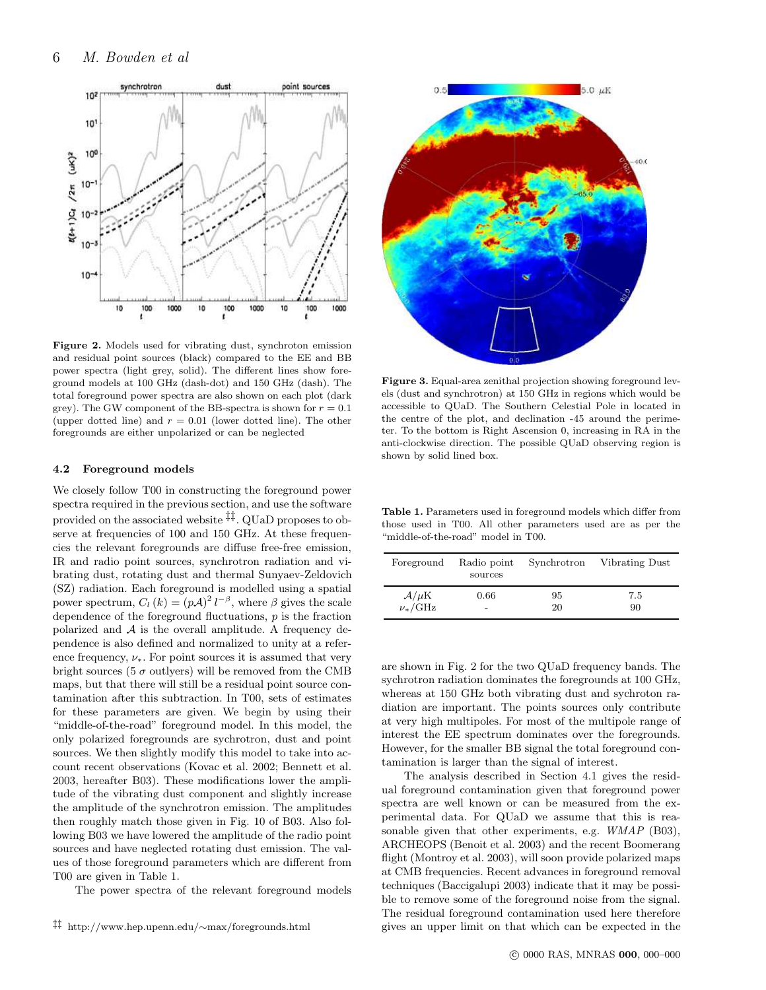

Figure 2. Models used for vibrating dust, synchroton emission and residual point sources (black) compared to the EE and BB power spectra (light grey, solid). The different lines show foreground models at 100 GHz (dash-dot) and 150 GHz (dash). The total foreground power spectra are also shown on each plot (dark grey). The GW component of the BB-spectra is shown for  $r = 0.1$ (upper dotted line) and  $r = 0.01$  (lower dotted line). The other foregrounds are either unpolarized or can be neglected

#### 4.2 Foreground models

We closely follow T00 in constructing the foreground power spectra required in the previous section, and use the software provided on the associated website  $\ddot{A}$ . QUaD proposes to observe at frequencies of 100 and 150 GHz. At these frequencies the relevant foregrounds are diffuse free-free emission, IR and radio point sources, synchrotron radiation and vibrating dust, rotating dust and thermal Sunyaev-Zeldovich (SZ) radiation. Each foreground is modelled using a spatial power spectrum,  $C_l(k) = (pA)^2 l^{-\beta}$ , where  $\beta$  gives the scale dependence of the foreground fluctuations, p is the fraction polarized and  $A$  is the overall amplitude. A frequency dependence is also defined and normalized to unity at a reference frequency,  $\nu_*$ . For point sources it is assumed that very bright sources (5  $\sigma$  outlyers) will be removed from the CMB maps, but that there will still be a residual point source contamination after this subtraction. In T00, sets of estimates for these parameters are given. We begin by using their "middle-of-the-road" foreground model. In this model, the only polarized foregrounds are sychrotron, dust and point sources. We then slightly modify this model to take into account recent observations (Kovac et al. 2002; Bennett et al. 2003, hereafter B03). These modifications lower the amplitude of the vibrating dust component and slightly increase the amplitude of the synchrotron emission. The amplitudes then roughly match those given in Fig. 10 of B03. Also following B03 we have lowered the amplitude of the radio point sources and have neglected rotating dust emission. The values of those foreground parameters which are different from T00 are given in Table 1.

The power spectra of the relevant foreground models



Figure 3. Equal-area zenithal projection showing foreground levels (dust and synchrotron) at 150 GHz in regions which would be accessible to QUaD. The Southern Celestial Pole in located in the centre of the plot, and declination -45 around the perimeter. To the bottom is Right Ascension 0, increasing in RA in the anti-clockwise direction. The possible QUaD observing region is shown by solid lined box.

Table 1. Parameters used in foreground models which differ from those used in T00. All other parameters used are as per the "middle-of-the-road" model in T00.

| Foreground           | Radio point<br>sources | Synchrotron | Vibrating Dust |
|----------------------|------------------------|-------------|----------------|
| $\mathcal{A}/\mu K$  | 0.66                   | 95          | 7.5            |
| $\nu_*/\mathrm{GHz}$ |                        | 20          | 90             |

are shown in Fig. 2 for the two QUaD frequency bands. The sychrotron radiation dominates the foregrounds at 100 GHz, whereas at 150 GHz both vibrating dust and sychroton radiation are important. The points sources only contribute at very high multipoles. For most of the multipole range of interest the EE spectrum dominates over the foregrounds. However, for the smaller BB signal the total foreground contamination is larger than the signal of interest.

The analysis described in Section 4.1 gives the residual foreground contamination given that foreground power spectra are well known or can be measured from the experimental data. For QUaD we assume that this is reasonable given that other experiments, e.g. WMAP (B03), ARCHEOPS (Benoit et al. 2003) and the recent Boomerang flight (Montroy et al. 2003), will soon provide polarized maps at CMB frequencies. Recent advances in foreground removal techniques (Baccigalupi 2003) indicate that it may be possible to remove some of the foreground noise from the signal. The residual foreground contamination used here therefore gives an upper limit on that which can be expected in the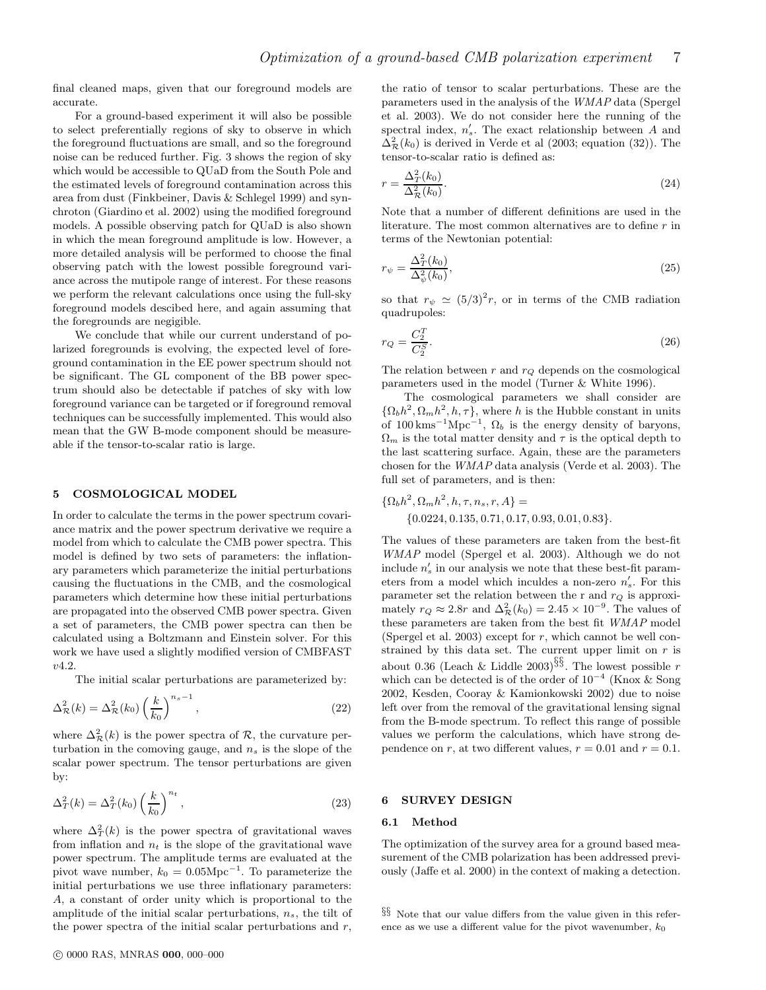final cleaned maps, given that our foreground models are accurate.

For a ground-based experiment it will also be possible to select preferentially regions of sky to observe in which the foreground fluctuations are small, and so the foreground noise can be reduced further. Fig. 3 shows the region of sky which would be accessible to QUaD from the South Pole and the estimated levels of foreground contamination across this area from dust (Finkbeiner, Davis & Schlegel 1999) and synchroton (Giardino et al. 2002) using the modified foreground models. A possible observing patch for QUaD is also shown in which the mean foreground amplitude is low. However, a more detailed analysis will be performed to choose the final observing patch with the lowest possible foreground variance across the mutipole range of interest. For these reasons we perform the relevant calculations once using the full-sky foreground models descibed here, and again assuming that the foregrounds are negigible.

We conclude that while our current understand of polarized foregrounds is evolving, the expected level of foreground contamination in the EE power spectrum should not be significant. The GL component of the BB power spectrum should also be detectable if patches of sky with low foreground variance can be targeted or if foreground removal techniques can be successfully implemented. This would also mean that the GW B-mode component should be measureable if the tensor-to-scalar ratio is large.

#### 5 COSMOLOGICAL MODEL

In order to calculate the terms in the power spectrum covariance matrix and the power spectrum derivative we require a model from which to calculate the CMB power spectra. This model is defined by two sets of parameters: the inflationary parameters which parameterize the initial perturbations causing the fluctuations in the CMB, and the cosmological parameters which determine how these initial perturbations are propagated into the observed CMB power spectra. Given a set of parameters, the CMB power spectra can then be calculated using a Boltzmann and Einstein solver. For this work we have used a slightly modified version of CMBFAST v4.2.

The initial scalar perturbations are parameterized by:

$$
\Delta_{\mathcal{R}}^2(k) = \Delta_{\mathcal{R}}^2(k_0) \left(\frac{k}{k_0}\right)^{n_s - 1},\tag{22}
$$

where  $\Delta_{\mathcal{R}}^2(k)$  is the power spectra of  $\mathcal{R}$ , the curvature perturbation in the comoving gauge, and  $n<sub>s</sub>$  is the slope of the scalar power spectrum. The tensor perturbations are given by:

$$
\Delta_T^2(k) = \Delta_T^2(k_0) \left(\frac{k}{k_0}\right)^{n_t},\tag{23}
$$

where  $\Delta_T^2(k)$  is the power spectra of gravitational waves from inflation and  $n_t$  is the slope of the gravitational wave power spectrum. The amplitude terms are evaluated at the pivot wave number,  $k_0 = 0.05 \text{Mpc}^{-1}$ . To parameterize the initial perturbations we use three inflationary parameters: A, a constant of order unity which is proportional to the amplitude of the initial scalar perturbations,  $n_s$ , the tilt of the power spectra of the initial scalar perturbations and  $r$ ,

the ratio of tensor to scalar perturbations. These are the parameters used in the analysis of the WMAP data (Spergel et al. 2003). We do not consider here the running of the spectral index,  $n'_{s}$ . The exact relationship between A and  $\Delta_{\mathcal{R}}^2(k_0)$  is derived in Verde et al (2003; equation (32)). The tensor-to-scalar ratio is defined as:

$$
r = \frac{\Delta_T^2(k_0)}{\Delta_R^2(k_0)}.\tag{24}
$$

Note that a number of different definitions are used in the literature. The most common alternatives are to define  $r$  in terms of the Newtonian potential:

$$
r_{\psi} = \frac{\Delta_T^2(k_0)}{\Delta_{\psi}^2(k_0)},
$$
\n(25)

so that  $r_{\psi} \simeq (5/3)^2 r$ , or in terms of the CMB radiation quadrupoles:

$$
r_Q = \frac{C_2^T}{C_2^S}.\tag{26}
$$

The relation between  $r$  and  $r_Q$  depends on the cosmological parameters used in the model (Turner & White 1996).

The cosmological parameters we shall consider are  $\{\Omega_b h^2, \Omega_m h^2, h, \tau\}$ , where h is the Hubble constant in units of  $100 \text{ km s}^{-1} \text{Mpc}^{-1}$ ,  $\Omega_b$  is the energy density of baryons,  $\Omega_m$  is the total matter density and  $\tau$  is the optical depth to the last scattering surface. Again, these are the parameters chosen for the WMAP data analysis (Verde et al. 2003). The full set of parameters, and is then:

$$
\{\Omega_b h^2, \Omega_m h^2, h, \tau, n_s, r, A\} =
$$
  
{0.0224, 0.135, 0.71, 0.17, 0.93, 0.01, 0.83}.

The values of these parameters are taken from the best-fit WMAP model (Spergel et al. 2003). Although we do not include  $n'_{s}$  in our analysis we note that these best-fit parameters from a model which inculdes a non-zero  $n'_{s}$ . For this parameter set the relation between the r and  $r_Q$  is approximately  $r_Q \approx 2.8r$  and  $\Delta^2_{\mathcal{R}}(k_0) = 2.45 \times 10^{-9}$ . The values of these parameters are taken from the best fit WMAP model (Spergel et al. 2003) except for r, which cannot be well constrained by this data set. The current upper limit on  $r$  is about 0.36 (Leach & Liddle 2003)<sup>§§</sup>. The lowest possible r which can be detected is of the order of  $10^{-4}$  (Knox & Song 2002, Kesden, Cooray & Kamionkowski 2002) due to noise left over from the removal of the gravitational lensing signal from the B-mode spectrum. To reflect this range of possible values we perform the calculations, which have strong dependence on r, at two different values,  $r = 0.01$  and  $r = 0.1$ .

## 6 SURVEY DESIGN

## 6.1 Method

The optimization of the survey area for a ground based measurement of the CMB polarization has been addressed previously (Jaffe et al. 2000) in the context of making a detection.

§§ Note that our value differs from the value given in this reference as we use a different value for the pivot wavenumber,  $k_0$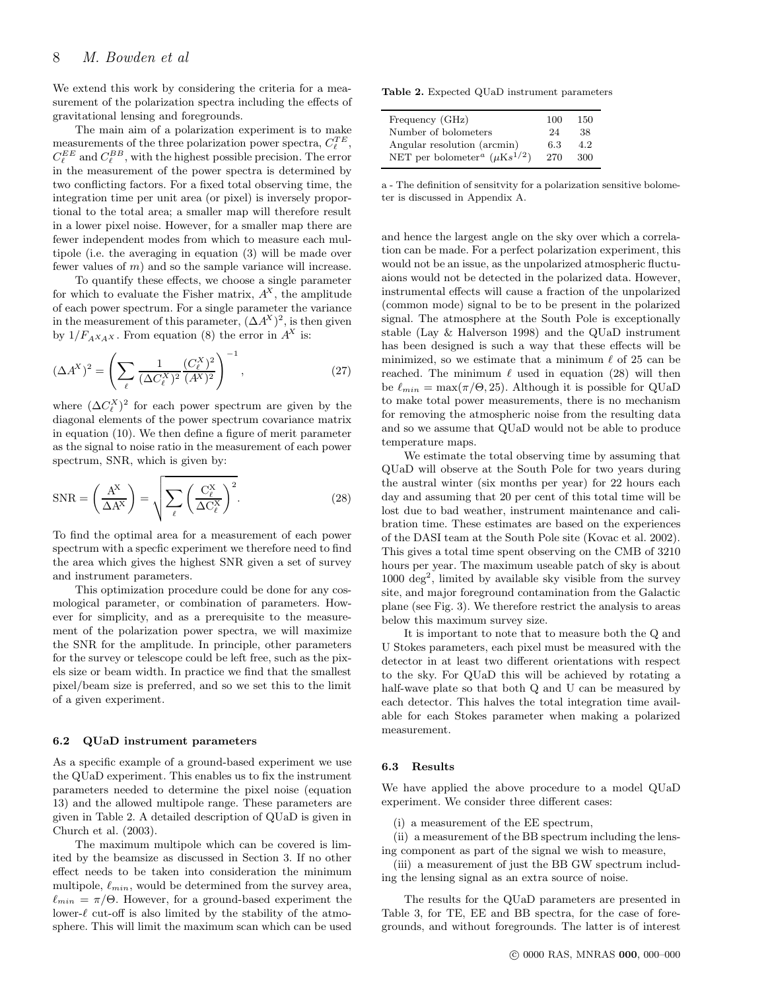We extend this work by considering the criteria for a measurement of the polarization spectra including the effects of gravitational lensing and foregrounds.

The main aim of a polarization experiment is to make measurements of the three polarization power spectra,  $C_{\ell}^{TE}$ ,  $C_{\ell}^{EE}$  and  $C_{\ell}^{BB}$ , with the highest possible precision. The error in the measurement of the power spectra is determined by two conflicting factors. For a fixed total observing time, the integration time per unit area (or pixel) is inversely proportional to the total area; a smaller map will therefore result in a lower pixel noise. However, for a smaller map there are fewer independent modes from which to measure each multipole (i.e. the averaging in equation (3) will be made over fewer values of  $m$ ) and so the sample variance will increase.

To quantify these effects, we choose a single parameter for which to evaluate the Fisher matrix,  $A<sup>X</sup>$ , the amplitude of each power spectrum. For a single parameter the variance in the measurement of this parameter,  $(\Delta A^X)^2$ , is then given by  $1/F_{A}x_{A}x$ . From equation (8) the error in  $A^{X}$  is:

$$
(\Delta A^X)^2 = \left(\sum_{\ell} \frac{1}{(\Delta C_{\ell}^X)^2} \frac{(C_{\ell}^X)^2}{(A^X)^2}\right)^{-1},\tag{27}
$$

where  $(\Delta C_{\ell}^{X})^{2}$  for each power spectrum are given by the diagonal elements of the power spectrum covariance matrix in equation (10). We then define a figure of merit parameter as the signal to noise ratio in the measurement of each power spectrum, SNR, which is given by:

$$
SNR = \left(\frac{A^{X}}{\Delta A^{X}}\right) = \sqrt{\sum_{\ell} \left(\frac{C_{\ell}^{X}}{\Delta C_{\ell}^{X}}\right)^{2}}.
$$
 (28)

To find the optimal area for a measurement of each power spectrum with a specfic experiment we therefore need to find the area which gives the highest SNR given a set of survey and instrument parameters.

This optimization procedure could be done for any cosmological parameter, or combination of parameters. However for simplicity, and as a prerequisite to the measurement of the polarization power spectra, we will maximize the SNR for the amplitude. In principle, other parameters for the survey or telescope could be left free, such as the pixels size or beam width. In practice we find that the smallest pixel/beam size is preferred, and so we set this to the limit of a given experiment.

#### 6.2 QUaD instrument parameters

As a specific example of a ground-based experiment we use the QUaD experiment. This enables us to fix the instrument parameters needed to determine the pixel noise (equation 13) and the allowed multipole range. These parameters are given in Table 2. A detailed description of QUaD is given in Church et al. (2003).

The maximum multipole which can be covered is limited by the beamsize as discussed in Section 3. If no other effect needs to be taken into consideration the minimum multipole,  $\ell_{min}$ , would be determined from the survey area,  $\ell_{min} = \pi/\Theta$ . However, for a ground-based experiment the lower- $\ell$  cut-off is also limited by the stability of the atmosphere. This will limit the maximum scan which can be used

Table 2. Expected QUaD instrument parameters

| Frequency (GHz)                                                   | 100 | 150  |
|-------------------------------------------------------------------|-----|------|
| Number of bolometers                                              | 24  | 38   |
| Angular resolution (arcmin)                                       | 6.3 | 4.2. |
| NET per bolometer <sup><i>a</i></sup> ( $\mu$ Ks <sup>1/2</sup> ) | 270 | 300  |

a - The definition of sensitvity for a polarization sensitive bolometer is discussed in Appendix A.

and hence the largest angle on the sky over which a correlation can be made. For a perfect polarization experiment, this would not be an issue, as the unpolarized atmospheric fluctuaions would not be detected in the polarized data. However, instrumental effects will cause a fraction of the unpolarized (common mode) signal to be to be present in the polarized signal. The atmosphere at the South Pole is exceptionally stable (Lay & Halverson 1998) and the QUaD instrument has been designed is such a way that these effects will be minimized, so we estimate that a minimum  $\ell$  of 25 can be reached. The minimum  $\ell$  used in equation (28) will then be  $\ell_{min} = \max(\pi/ \Theta, 25)$ . Although it is possible for QUaD to make total power measurements, there is no mechanism for removing the atmospheric noise from the resulting data and so we assume that QUaD would not be able to produce temperature maps.

We estimate the total observing time by assuming that QUaD will observe at the South Pole for two years during the austral winter (six months per year) for 22 hours each day and assuming that 20 per cent of this total time will be lost due to bad weather, instrument maintenance and calibration time. These estimates are based on the experiences of the DASI team at the South Pole site (Kovac et al. 2002). This gives a total time spent observing on the CMB of 3210 hours per year. The maximum useable patch of sky is about 1000 deg<sup>2</sup>, limited by available sky visible from the survey site, and major foreground contamination from the Galactic plane (see Fig. 3). We therefore restrict the analysis to areas below this maximum survey size.

It is important to note that to measure both the Q and U Stokes parameters, each pixel must be measured with the detector in at least two different orientations with respect to the sky. For QUaD this will be achieved by rotating a half-wave plate so that both Q and U can be measured by each detector. This halves the total integration time available for each Stokes parameter when making a polarized measurement.

#### 6.3 Results

We have applied the above procedure to a model QUaD experiment. We consider three different cases:

(i) a measurement of the EE spectrum,

(ii) a measurement of the BB spectrum including the lensing component as part of the signal we wish to measure,

(iii) a measurement of just the BB GW spectrum including the lensing signal as an extra source of noise.

The results for the QUaD parameters are presented in Table 3, for TE, EE and BB spectra, for the case of foregrounds, and without foregrounds. The latter is of interest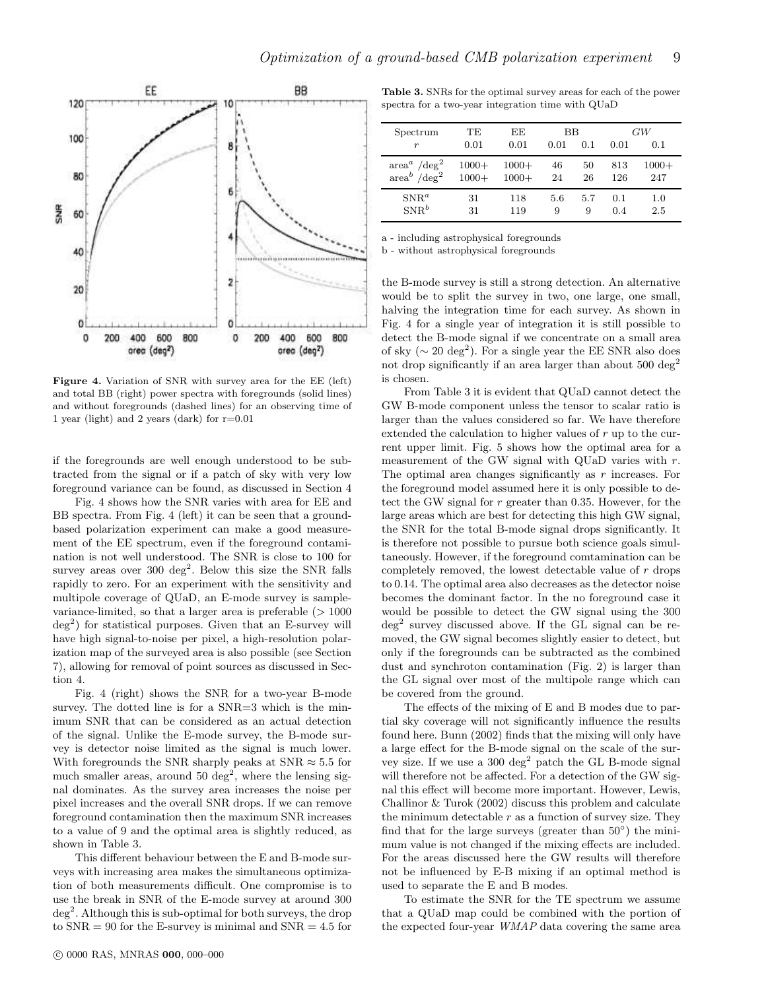

Figure 4. Variation of SNR with survey area for the EE (left) and total BB (right) power spectra with foregrounds (solid lines) and without foregrounds (dashed lines) for an observing time of 1 year (light) and 2 years (dark) for r=0.01

if the foregrounds are well enough understood to be subtracted from the signal or if a patch of sky with very low foreground variance can be found, as discussed in Section 4

Fig. 4 shows how the SNR varies with area for EE and BB spectra. From Fig. 4 (left) it can be seen that a groundbased polarization experiment can make a good measurement of the EE spectrum, even if the foreground contamination is not well understood. The SNR is close to 100 for survey areas over  $300 \text{ deg}^2$ . Below this size the SNR falls rapidly to zero. For an experiment with the sensitivity and multipole coverage of QUaD, an E-mode survey is samplevariance-limited, so that a larger area is preferable  $(>1000$ deg<sup>2</sup> ) for statistical purposes. Given that an E-survey will have high signal-to-noise per pixel, a high-resolution polarization map of the surveyed area is also possible (see Section 7), allowing for removal of point sources as discussed in Section 4.

Fig. 4 (right) shows the SNR for a two-year B-mode survey. The dotted line is for a SNR=3 which is the minimum SNR that can be considered as an actual detection of the signal. Unlike the E-mode survey, the B-mode survey is detector noise limited as the signal is much lower. With foregrounds the SNR sharply peaks at SNR  $\approx$  5.5 for much smaller areas, around  $50 \text{ deg}^2$ , where the lensing signal dominates. As the survey area increases the noise per pixel increases and the overall SNR drops. If we can remove foreground contamination then the maximum SNR increases to a value of 9 and the optimal area is slightly reduced, as shown in Table 3.

This different behaviour between the E and B-mode surveys with increasing area makes the simultaneous optimization of both measurements difficult. One compromise is to use the break in SNR of the E-mode survey at around 300 deg<sup>2</sup>. Although this is sub-optimal for both surveys, the drop to  $SNR = 90$  for the E-survey is minimal and  $SNR = 4.5$  for

Table 3. SNRs for the optimal survey areas for each of the power spectra for a two-year integration time with QUaD

| Spectrum             | TЕ      | EE      | <b>BB</b> |     |      | GW      |
|----------------------|---------|---------|-----------|-----|------|---------|
| $\boldsymbol{r}$     | 0.01    | 0.01    | 0.01      | 0.1 | 0.01 | 0.1     |
| $area^{a} / deg^{2}$ | $1000+$ | $1000+$ | 46        | 50  | 813  | $1000+$ |
| $area^{b}/deg^{2}$   | $1000+$ | $1000+$ | 24        | 26  | 126  | 247     |
| $SNR^a$              | 31      | 118     | 5.6       | 5.7 | 0.1  | 1.0     |
| $SNR^b$              | 31      | 119     | 9         | 9   | 0.4  | 2.5     |

a - including astrophysical foregrounds

b - without astrophysical foregrounds

the B-mode survey is still a strong detection. An alternative would be to split the survey in two, one large, one small, halving the integration time for each survey. As shown in Fig. 4 for a single year of integration it is still possible to detect the B-mode signal if we concentrate on a small area of sky ( $\sim 20 \text{ deg}^2$ ). For a single year the EE SNR also does not drop significantly if an area larger than about  $500 \text{ deg}^2$ is chosen.

From Table 3 it is evident that QUaD cannot detect the GW B-mode component unless the tensor to scalar ratio is larger than the values considered so far. We have therefore extended the calculation to higher values of  $r$  up to the current upper limit. Fig. 5 shows how the optimal area for a measurement of the GW signal with QUaD varies with  $r$ . The optimal area changes significantly as r increases. For the foreground model assumed here it is only possible to detect the GW signal for  $r$  greater than 0.35. However, for the large areas which are best for detecting this high GW signal, the SNR for the total B-mode signal drops significantly. It is therefore not possible to pursue both science goals simultaneously. However, if the foreground comtamination can be completely removed, the lowest detectable value of  $r$  drops to 0.14. The optimal area also decreases as the detector noise becomes the dominant factor. In the no foreground case it would be possible to detect the GW signal using the 300 deg<sup>2</sup> survey discussed above. If the GL signal can be removed, the GW signal becomes slightly easier to detect, but only if the foregrounds can be subtracted as the combined dust and synchroton contamination (Fig. 2) is larger than the GL signal over most of the multipole range which can be covered from the ground.

The effects of the mixing of E and B modes due to partial sky coverage will not significantly influence the results found here. Bunn (2002) finds that the mixing will only have a large effect for the B-mode signal on the scale of the survey size. If we use a  $300 \text{ deg}^2$  patch the GL B-mode signal will therefore not be affected. For a detection of the GW signal this effect will become more important. However, Lewis, Challinor & Turok (2002) discuss this problem and calculate the minimum detectable  $r$  as a function of survey size. They find that for the large surveys (greater than  $50^{\circ}$ ) the minimum value is not changed if the mixing effects are included. For the areas discussed here the GW results will therefore not be influenced by E-B mixing if an optimal method is used to separate the E and B modes.

To estimate the SNR for the TE spectrum we assume that a QUaD map could be combined with the portion of the expected four-year WMAP data covering the same area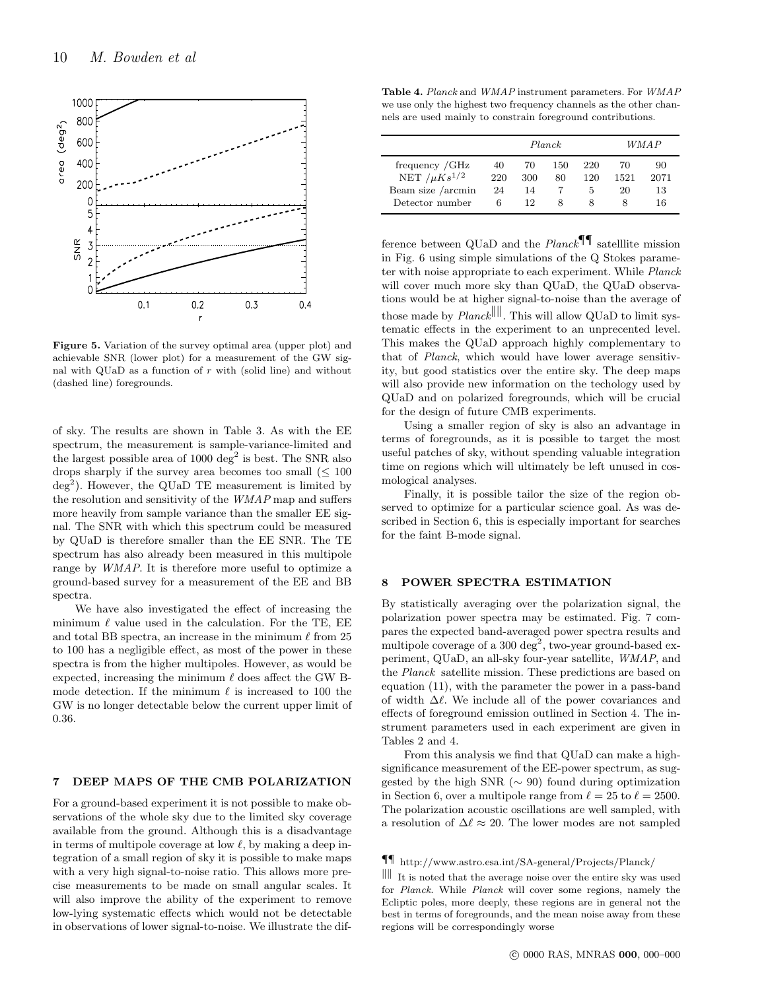

Figure 5. Variation of the survey optimal area (upper plot) and achievable SNR (lower plot) for a measurement of the GW signal with QUaD as a function of  $r$  with (solid line) and without (dashed line) foregrounds.

of sky. The results are shown in Table 3. As with the EE spectrum, the measurement is sample-variance-limited and the largest possible area of  $1000 \text{ deg}^2$  is best. The SNR also drops sharply if the survey area becomes too small  $(\leq 100$ deg<sup>2</sup> ). However, the QUaD TE measurement is limited by the resolution and sensitivity of the WMAP map and suffers more heavily from sample variance than the smaller EE signal. The SNR with which this spectrum could be measured by QUaD is therefore smaller than the EE SNR. The TE spectrum has also already been measured in this multipole range by WMAP. It is therefore more useful to optimize a ground-based survey for a measurement of the EE and BB spectra.

We have also investigated the effect of increasing the minimum  $\ell$  value used in the calculation. For the TE, EE and total BB spectra, an increase in the minimum  $\ell$  from 25 to 100 has a negligible effect, as most of the power in these spectra is from the higher multipoles. However, as would be expected, increasing the minimum  $\ell$  does affect the GW Bmode detection. If the minimum  $\ell$  is increased to 100 the GW is no longer detectable below the current upper limit of 0.36.

## 7 DEEP MAPS OF THE CMB POLARIZATION

For a ground-based experiment it is not possible to make observations of the whole sky due to the limited sky coverage available from the ground. Although this is a disadvantage in terms of multipole coverage at low  $\ell$ , by making a deep integration of a small region of sky it is possible to make maps with a very high signal-to-noise ratio. This allows more precise measurements to be made on small angular scales. It will also improve the ability of the experiment to remove low-lying systematic effects which would not be detectable in observations of lower signal-to-noise. We illustrate the dif-

Table 4. Planck and WMAP instrument parameters. For WMAP we use only the highest two frequency channels as the other channels are used mainly to constrain foreground contributions.

|                      | <i>Planck</i> |     |     | <i>WMAP</i> |      |      |
|----------------------|---------------|-----|-----|-------------|------|------|
| frequency $/GHz$     | 40            | 70  | 150 | 220         | 70   | 90   |
| NET $/\mu K s^{1/2}$ | 220           | 300 | 80  | 120         | 1521 | 2071 |
| Beam size /arcmin    | 24            | 14  |     | h           | 20   | 13   |
| Detector number      | б             | 12  |     |             |      | 16   |

ference between QUaD and the  $Planck$ <sup> $\P$  $\parallel$ </sup> satelllite mission in Fig. 6 using simple simulations of the Q Stokes parameter with noise appropriate to each experiment. While Planck will cover much more sky than QUaD, the QUaD observations would be at higher signal-to-noise than the average of those made by  $Planck$ <sup>||||</sup>. This will allow QUaD to limit systematic effects in the experiment to an unprecented level. This makes the QUaD approach highly complementary to that of Planck, which would have lower average sensitivity, but good statistics over the entire sky. The deep maps will also provide new information on the techology used by QUaD and on polarized foregrounds, which will be crucial for the design of future CMB experiments.

Using a smaller region of sky is also an advantage in terms of foregrounds, as it is possible to target the most useful patches of sky, without spending valuable integration time on regions which will ultimately be left unused in cosmological analyses.

Finally, it is possible tailor the size of the region observed to optimize for a particular science goal. As was described in Section 6, this is especially important for searches for the faint B-mode signal.

#### 8 POWER SPECTRA ESTIMATION

By statistically averaging over the polarization signal, the polarization power spectra may be estimated. Fig. 7 compares the expected band-averaged power spectra results and multipole coverage of a  $300 \text{ deg}^2$ , two-year ground-based experiment, QUaD, an all-sky four-year satellite, WMAP, and the Planck satellite mission. These predictions are based on equation (11), with the parameter the power in a pass-band of width  $\Delta \ell$ . We include all of the power covariances and effects of foreground emission outlined in Section 4. The instrument parameters used in each experiment are given in Tables 2 and 4.

From this analysis we find that QUaD can make a highsignificance measurement of the EE-power spectrum, as suggested by the high SNR ( $\sim$  90) found during optimization in Section 6, over a multipole range from  $\ell = 25$  to  $\ell = 2500$ . The polarization acoustic oscillations are well sampled, with a resolution of  $\Delta \ell \approx 20$ . The lower modes are not sampled

¶¶ http://www.astro.esa.int/SA-general/Projects/Planck/

 $\| \cdot \|$  It is noted that the average noise over the entire sky was used for Planck. While Planck will cover some regions, namely the Ecliptic poles, more deeply, these regions are in general not the best in terms of foregrounds, and the mean noise away from these regions will be correspondingly worse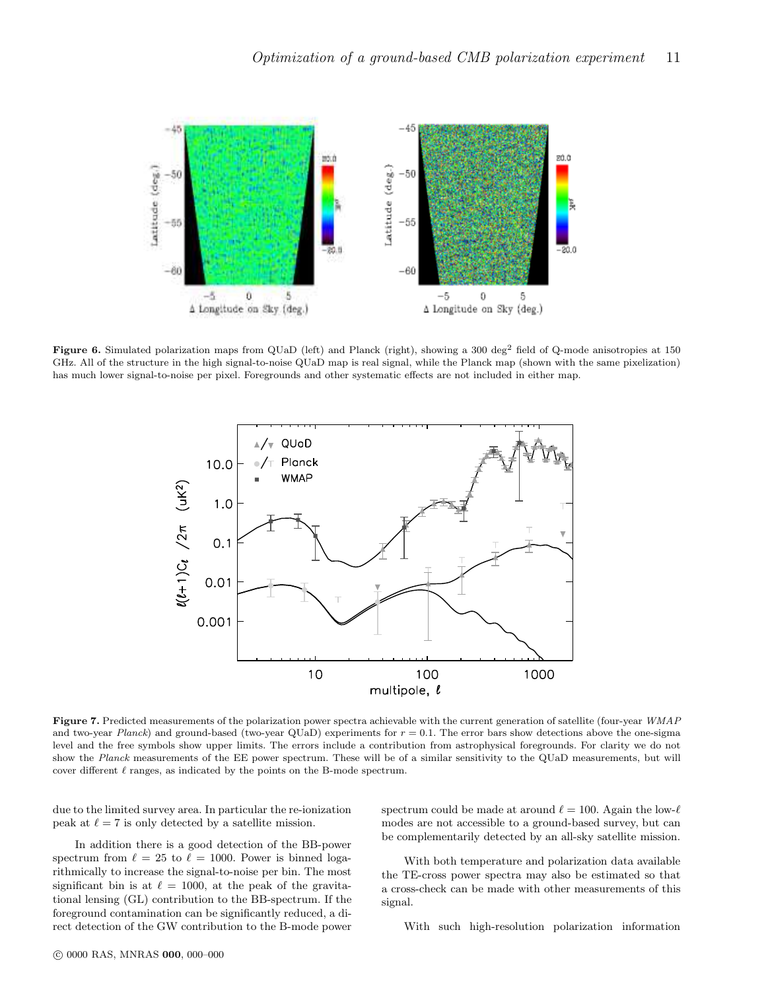

Figure 6. Simulated polarization maps from QUaD (left) and Planck (right), showing a 300 deg<sup>2</sup> field of Q-mode anisotropies at 150 GHz. All of the structure in the high signal-to-noise QUaD map is real signal, while the Planck map (shown with the same pixelization) has much lower signal-to-noise per pixel. Foregrounds and other systematic effects are not included in either map.



Figure 7. Predicted measurements of the polarization power spectra achievable with the current generation of satellite (four-year WMAP and two-year Planck) and ground-based (two-year QUaD) experiments for  $r = 0.1$ . The error bars show detections above the one-sigma level and the free symbols show upper limits. The errors include a contribution from astrophysical foregrounds. For clarity we do not show the Planck measurements of the EE power spectrum. These will be of a similar sensitivity to the QUaD measurements, but will cover different  $\ell$  ranges, as indicated by the points on the B-mode spectrum.

due to the limited survey area. In particular the re-ionization peak at  $\ell = 7$  is only detected by a satellite mission.

In addition there is a good detection of the BB-power spectrum from  $\ell = 25$  to  $\ell = 1000$ . Power is binned logarithmically to increase the signal-to-noise per bin. The most significant bin is at  $\ell = 1000$ , at the peak of the gravitational lensing (GL) contribution to the BB-spectrum. If the foreground contamination can be significantly reduced, a direct detection of the GW contribution to the B-mode power spectrum could be made at around  $\ell = 100$ . Again the low- $\ell$ modes are not accessible to a ground-based survey, but can be complementarily detected by an all-sky satellite mission.

With both temperature and polarization data available the TE-cross power spectra may also be estimated so that a cross-check can be made with other measurements of this signal.

With such high-resolution polarization information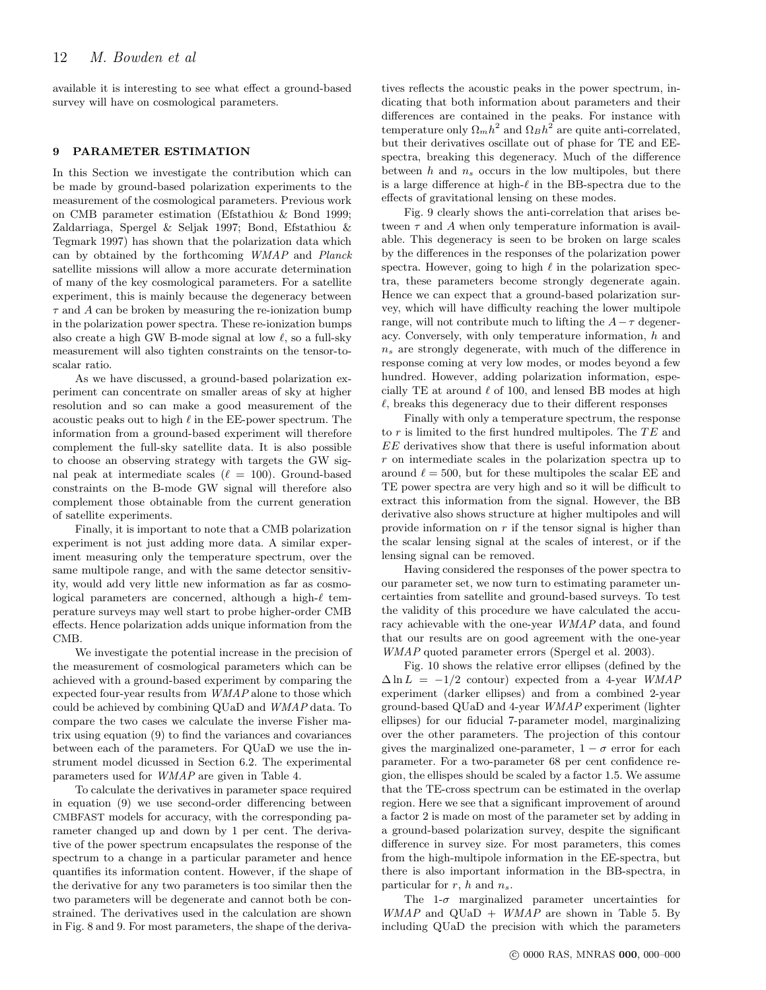available it is interesting to see what effect a ground-based survey will have on cosmological parameters.

# 9 PARAMETER ESTIMATION

In this Section we investigate the contribution which can be made by ground-based polarization experiments to the measurement of the cosmological parameters. Previous work on CMB parameter estimation (Efstathiou & Bond 1999; Zaldarriaga, Spergel & Seljak 1997; Bond, Efstathiou & Tegmark 1997) has shown that the polarization data which can by obtained by the forthcoming WMAP and Planck satellite missions will allow a more accurate determination of many of the key cosmological parameters. For a satellite experiment, this is mainly because the degeneracy between  $\tau$  and A can be broken by measuring the re-ionization bump in the polarization power spectra. These re-ionization bumps also create a high GW B-mode signal at low  $\ell$ , so a full-sky measurement will also tighten constraints on the tensor-toscalar ratio.

As we have discussed, a ground-based polarization experiment can concentrate on smaller areas of sky at higher resolution and so can make a good measurement of the acoustic peaks out to high  $\ell$  in the EE-power spectrum. The information from a ground-based experiment will therefore complement the full-sky satellite data. It is also possible to choose an observing strategy with targets the GW signal peak at intermediate scales ( $\ell = 100$ ). Ground-based constraints on the B-mode GW signal will therefore also complement those obtainable from the current generation of satellite experiments.

Finally, it is important to note that a CMB polarization experiment is not just adding more data. A similar experiment measuring only the temperature spectrum, over the same multipole range, and with the same detector sensitivity, would add very little new information as far as cosmological parameters are concerned, although a high-ℓ temperature surveys may well start to probe higher-order CMB effects. Hence polarization adds unique information from the CMB.

We investigate the potential increase in the precision of the measurement of cosmological parameters which can be achieved with a ground-based experiment by comparing the expected four-year results from WMAP alone to those which could be achieved by combining QUaD and WMAP data. To compare the two cases we calculate the inverse Fisher matrix using equation (9) to find the variances and covariances between each of the parameters. For QUaD we use the instrument model dicussed in Section 6.2. The experimental parameters used for WMAP are given in Table 4.

To calculate the derivatives in parameter space required in equation (9) we use second-order differencing between CMBFAST models for accuracy, with the corresponding parameter changed up and down by 1 per cent. The derivative of the power spectrum encapsulates the response of the spectrum to a change in a particular parameter and hence quantifies its information content. However, if the shape of the derivative for any two parameters is too similar then the two parameters will be degenerate and cannot both be constrained. The derivatives used in the calculation are shown in Fig. 8 and 9. For most parameters, the shape of the derivatives reflects the acoustic peaks in the power spectrum, indicating that both information about parameters and their differences are contained in the peaks. For instance with temperature only  $\Omega_m h^2$  and  $\Omega_B h^2$  are quite anti-correlated, but their derivatives oscillate out of phase for TE and EEspectra, breaking this degeneracy. Much of the difference between  $h$  and  $n_s$  occurs in the low multipoles, but there is a large difference at high-ℓ in the BB-spectra due to the effects of gravitational lensing on these modes.

Fig. 9 clearly shows the anti-correlation that arises between  $\tau$  and A when only temperature information is available. This degeneracy is seen to be broken on large scales by the differences in the responses of the polarization power spectra. However, going to high  $\ell$  in the polarization spectra, these parameters become strongly degenerate again. Hence we can expect that a ground-based polarization survey, which will have difficulty reaching the lower multipole range, will not contribute much to lifting the  $A - \tau$  degeneracy. Conversely, with only temperature information, h and  $n<sub>s</sub>$  are strongly degenerate, with much of the difference in response coming at very low modes, or modes beyond a few hundred. However, adding polarization information, especially TE at around  $\ell$  of 100, and lensed BB modes at high  $\ell$ , breaks this degeneracy due to their different responses

Finally with only a temperature spectrum, the response to  $r$  is limited to the first hundred multipoles. The  $TE$  and EE derivatives show that there is useful information about r on intermediate scales in the polarization spectra up to around  $\ell = 500$ , but for these multipoles the scalar EE and TE power spectra are very high and so it will be difficult to extract this information from the signal. However, the BB derivative also shows structure at higher multipoles and will provide information on  $r$  if the tensor signal is higher than the scalar lensing signal at the scales of interest, or if the lensing signal can be removed.

Having considered the responses of the power spectra to our parameter set, we now turn to estimating parameter uncertainties from satellite and ground-based surveys. To test the validity of this procedure we have calculated the accuracy achievable with the one-year WMAP data, and found that our results are on good agreement with the one-year WMAP quoted parameter errors (Spergel et al. 2003).

Fig. 10 shows the relative error ellipses (defined by the  $\Delta \ln L = -1/2$  contour) expected from a 4-year WMAP experiment (darker ellipses) and from a combined 2-year ground-based QUaD and 4-year WMAP experiment (lighter ellipses) for our fiducial 7-parameter model, marginalizing over the other parameters. The projection of this contour gives the marginalized one-parameter,  $1 - \sigma$  error for each parameter. For a two-parameter 68 per cent confidence region, the ellispes should be scaled by a factor 1.5. We assume that the TE-cross spectrum can be estimated in the overlap region. Here we see that a significant improvement of around a factor 2 is made on most of the parameter set by adding in a ground-based polarization survey, despite the significant difference in survey size. For most parameters, this comes from the high-multipole information in the EE-spectra, but there is also important information in the BB-spectra, in particular for r, h and  $n_s$ .

The  $1-\sigma$  marginalized parameter uncertainties for  $WMAP$  and  $QUaD + WMAP$  are shown in Table 5. By including QUaD the precision with which the parameters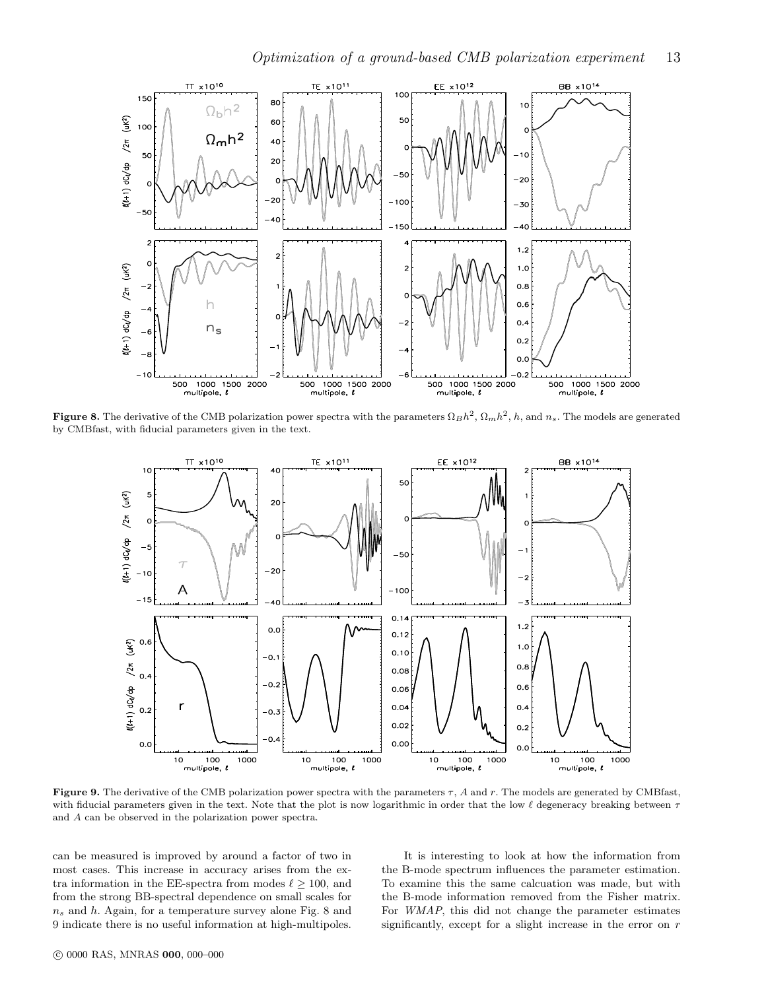

**Figure 8.** The derivative of the CMB polarization power spectra with the parameters  $\Omega_B h^2$ ,  $\Omega_m h^2$ ,  $h$ , and  $n_s$ . The models are generated by CMBfast, with fiducial parameters given in the text.



Figure 9. The derivative of the CMB polarization power spectra with the parameters  $\tau$ , A and r. The models are generated by CMBfast, with fiducial parameters given in the text. Note that the plot is now logarithmic in order that the low  $\ell$  degeneracy breaking between  $\tau$ and A can be observed in the polarization power spectra.

can be measured is improved by around a factor of two in most cases. This increase in accuracy arises from the extra information in the EE-spectra from modes  $\ell \geq 100$ , and from the strong BB-spectral dependence on small scales for  $n_s$  and h. Again, for a temperature survey alone Fig. 8 and 9 indicate there is no useful information at high-multipoles.

It is interesting to look at how the information from the B-mode spectrum influences the parameter estimation. To examine this the same calcuation was made, but with the B-mode information removed from the Fisher matrix. For WMAP, this did not change the parameter estimates significantly, except for a slight increase in the error on  $r$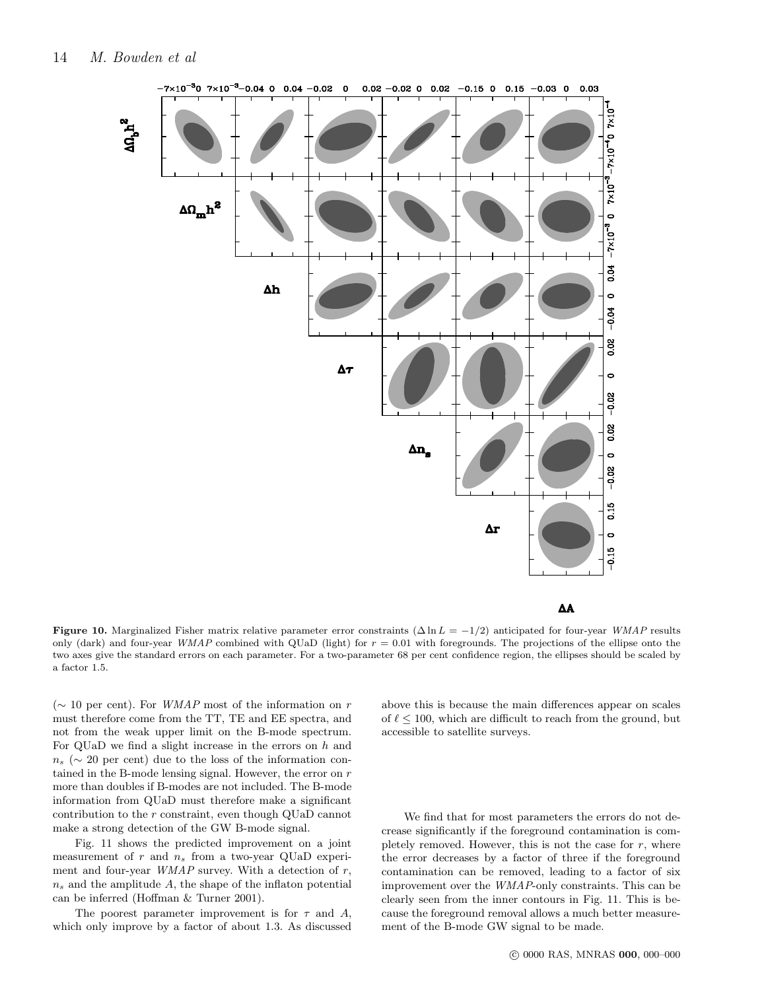

ΔΑ

Figure 10. Marginalized Fisher matrix relative parameter error constraints ( $\Delta \ln L = -1/2$ ) anticipated for four-year WMAP results only (dark) and four-year WMAP combined with QUaD (light) for  $r = 0.01$  with foregrounds. The projections of the ellipse onto the two axes give the standard errors on each parameter. For a two-parameter 68 per cent confidence region, the ellipses should be scaled by a factor 1.5.

( $\sim$  10 per cent). For *WMAP* most of the information on r must therefore come from the TT, TE and EE spectra, and not from the weak upper limit on the B-mode spectrum. For QUaD we find a slight increase in the errors on h and  $n_s \sim 20$  per cent) due to the loss of the information contained in the B-mode lensing signal. However, the error on r more than doubles if B-modes are not included. The B-mode information from QUaD must therefore make a significant contribution to the r constraint, even though QUaD cannot make a strong detection of the GW B-mode signal.

Fig. 11 shows the predicted improvement on a joint measurement of r and  $n_s$  from a two-year QUaD experiment and four-year  $WMAP$  survey. With a detection of  $r$ ,  $n<sub>s</sub>$  and the amplitude A, the shape of the inflaton potential can be inferred (Hoffman & Turner 2001).

The poorest parameter improvement is for  $\tau$  and A, which only improve by a factor of about 1.3. As discussed

above this is because the main differences appear on scales of  $\ell \leq 100$ , which are difficult to reach from the ground, but accessible to satellite surveys.

We find that for most parameters the errors do not decrease significantly if the foreground contamination is completely removed. However, this is not the case for  $r$ , where the error decreases by a factor of three if the foreground contamination can be removed, leading to a factor of six improvement over the WMAP-only constraints. This can be clearly seen from the inner contours in Fig. 11. This is because the foreground removal allows a much better measurement of the B-mode GW signal to be made.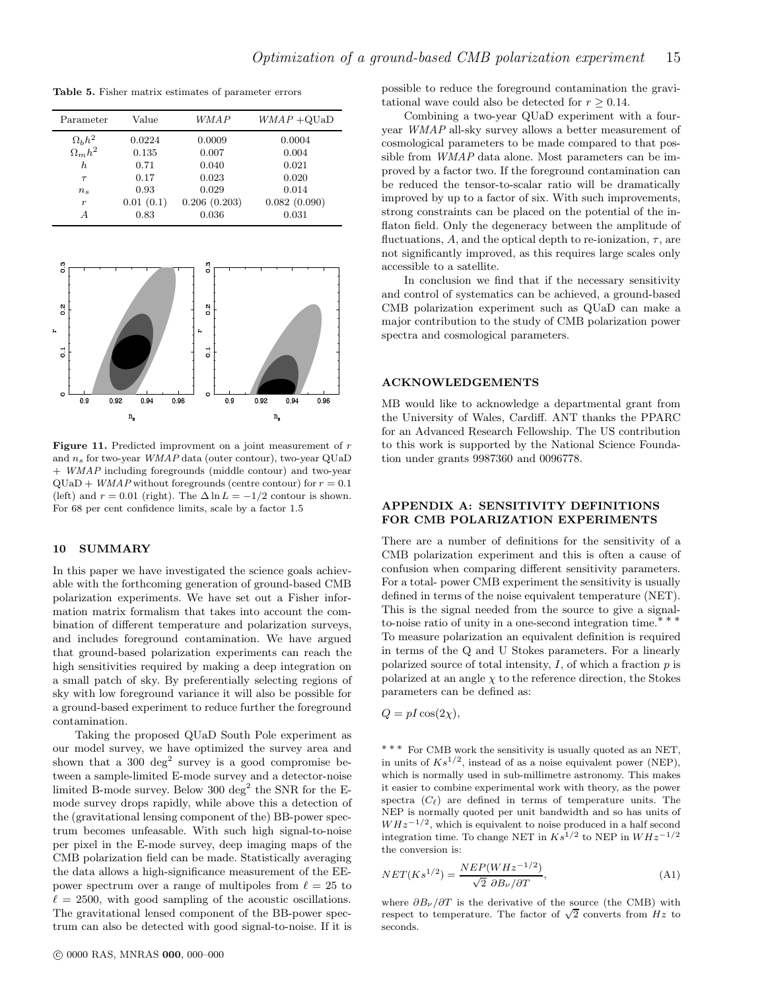Table 5. Fisher matrix estimates of parameter errors

| Parameter        | Value     | <i>WMAP</i>  | $WMAP + QUaD$ |
|------------------|-----------|--------------|---------------|
| $\Omega_h h^2$   | 0.0224    | 0.0009       | 0.0004        |
| $\Omega_m h^2$   | 0.135     | 0.007        | 0.004         |
| h                | 0.71      | 0.040        | 0.021         |
| $\tau$           | 0.17      | 0.023        | 0.020         |
| $n_{\rm s}$      | 0.93      | 0.029        | 0.014         |
| $\boldsymbol{r}$ | 0.01(0.1) | 0.206(0.203) | 0.082(0.090)  |
| А                | 0.83      | 0.036        | 0.031         |



**Figure 11.** Predicted improvment on a joint measurement of  $r$ and  $n_s$  for two-year  $WMAP$  data (outer contour), two-year QUaD + WMAP including foregrounds (middle contour) and two-year  $\text{QUaD} + \text{WMAP}$  without foregrounds (centre contour) for  $r = 0.1$ (left) and  $r = 0.01$  (right). The  $\Delta \ln L = -1/2$  contour is shown. For 68 per cent confidence limits, scale by a factor 1.5

# 10 SUMMARY

In this paper we have investigated the science goals achievable with the forthcoming generation of ground-based CMB polarization experiments. We have set out a Fisher information matrix formalism that takes into account the combination of different temperature and polarization surveys, and includes foreground contamination. We have argued that ground-based polarization experiments can reach the high sensitivities required by making a deep integration on a small patch of sky. By preferentially selecting regions of sky with low foreground variance it will also be possible for a ground-based experiment to reduce further the foreground contamination.

Taking the proposed QUaD South Pole experiment as our model survey, we have optimized the survey area and shown that a 300  $\deg^2$  survey is a good compromise between a sample-limited E-mode survey and a detector-noise limited B-mode survey. Below 300 deg<sup>2</sup> the SNR for the Emode survey drops rapidly, while above this a detection of the (gravitational lensing component of the) BB-power spectrum becomes unfeasable. With such high signal-to-noise per pixel in the E-mode survey, deep imaging maps of the CMB polarization field can be made. Statistically averaging the data allows a high-significance measurement of the EEpower spectrum over a range of multipoles from  $\ell = 25$  to  $\ell = 2500$ , with good sampling of the acoustic oscillations. The gravitational lensed component of the BB-power spectrum can also be detected with good signal-to-noise. If it is possible to reduce the foreground contamination the gravitational wave could also be detected for  $r \geq 0.14$ .

Combining a two-year QUaD experiment with a fouryear WMAP all-sky survey allows a better measurement of cosmological parameters to be made compared to that possible from WMAP data alone. Most parameters can be improved by a factor two. If the foreground contamination can be reduced the tensor-to-scalar ratio will be dramatically improved by up to a factor of six. With such improvements, strong constraints can be placed on the potential of the inflaton field. Only the degeneracy between the amplitude of fluctuations, A, and the optical depth to re-ionization,  $\tau$ , are not significantly improved, as this requires large scales only accessible to a satellite.

In conclusion we find that if the necessary sensitivity and control of systematics can be achieved, a ground-based CMB polarization experiment such as QUaD can make a major contribution to the study of CMB polarization power spectra and cosmological parameters.

## ACKNOWLEDGEMENTS

MB would like to acknowledge a departmental grant from the University of Wales, Cardiff. ANT thanks the PPARC for an Advanced Research Fellowship. The US contribution to this work is supported by the National Science Foundation under grants 9987360 and 0096778.

# APPENDIX A: SENSITIVITY DEFINITIONS FOR CMB POLARIZATION EXPERIMENTS

There are a number of definitions for the sensitivity of a CMB polarization experiment and this is often a cause of confusion when comparing different sensitivity parameters. For a total- power CMB experiment the sensitivity is usually defined in terms of the noise equivalent temperature (NET). This is the signal needed from the source to give a signalto-noise ratio of unity in a one-second integration time.∗ ∗ ∗ To measure polarization an equivalent definition is required in terms of the Q and U Stokes parameters. For a linearly polarized source of total intensity,  $I$ , of which a fraction  $p$  is polarized at an angle  $\chi$  to the reference direction, the Stokes parameters can be defined as:

$$
Q = pI\cos(2\chi),
$$

For CMB work the sensitivity is usually quoted as an NET, in units of  $Ks^{1/2}$ , instead of as a noise equivalent power (NEP), which is normally used in sub-millimetre astronomy. This makes it easier to combine experimental work with theory, as the power spectra  $(C_{\ell})$  are defined in terms of temperature units. The NEP is normally quoted per unit bandwidth and so has units of  $W Hz^{-1/2}$ , which is equivalent to noise produced in a half second integration time. To change NET in  $Ks^{1/2}$  to NEP in  $WHz^{-1/2}$ the conversion is:

$$
NET(Ks^{1/2}) = \frac{NEP(WHz^{-1/2})}{\sqrt{2} \ \partial B_{\nu}/\partial T},
$$
\n(A1)

where  $\partial B_{\nu}/\partial T$  is the derivative of the source (the CMB) with respect to temperature. The factor of  $\sqrt{2}$  converts from Hz to seconds.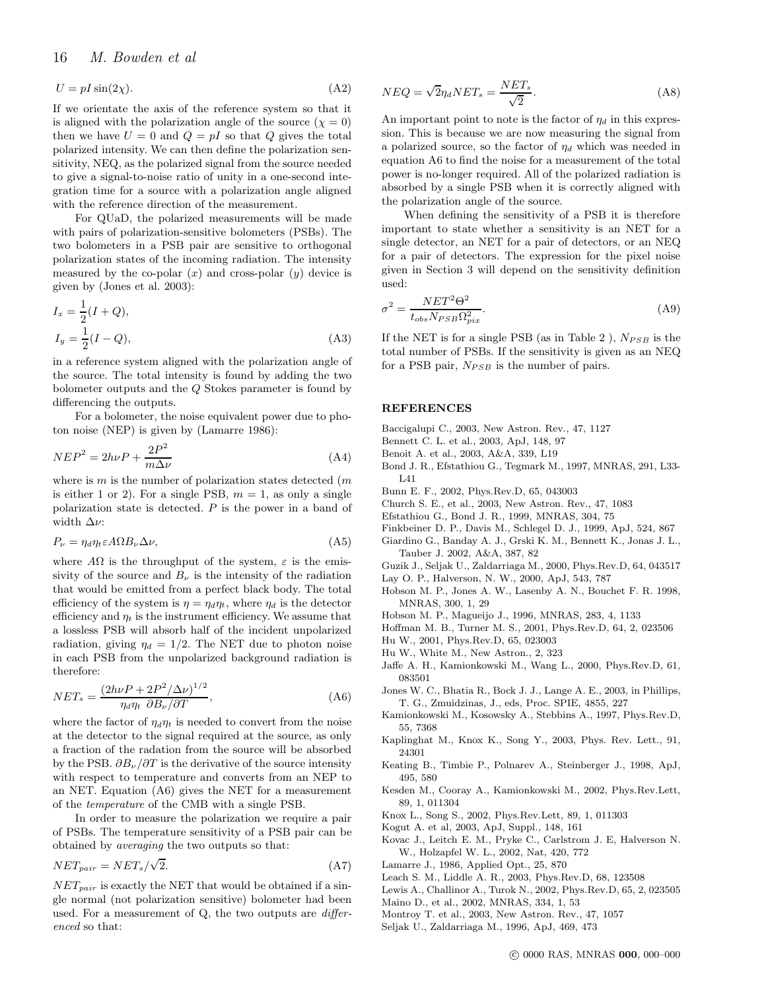$$
U = pI\sin(2\chi). \tag{A2}
$$

If we orientate the axis of the reference system so that it is aligned with the polarization angle of the source  $(\chi = 0)$ then we have  $U = 0$  and  $Q = pI$  so that Q gives the total polarized intensity. We can then define the polarization sensitivity, NEQ, as the polarized signal from the source needed to give a signal-to-noise ratio of unity in a one-second integration time for a source with a polarization angle aligned with the reference direction of the measurement.

For QUaD, the polarized measurements will be made with pairs of polarization-sensitive bolometers (PSBs). The two bolometers in a PSB pair are sensitive to orthogonal polarization states of the incoming radiation. The intensity measured by the co-polar  $(x)$  and cross-polar  $(y)$  device is given by (Jones et al. 2003):

$$
I_x = \frac{1}{2}(I + Q),
$$
  
\n
$$
I_y = \frac{1}{2}(I - Q),
$$
\n(A3)

in a reference system aligned with the polarization angle of the source. The total intensity is found by adding the two bolometer outputs and the Q Stokes parameter is found by differencing the outputs.

For a bolometer, the noise equivalent power due to photon noise (NEP) is given by (Lamarre 1986):

$$
NEP^2 = 2h\nu P + \frac{2P^2}{m\Delta\nu} \tag{A4}
$$

where is  $m$  is the number of polarization states detected  $(m)$ is either 1 or 2). For a single PSB,  $m = 1$ , as only a single polarization state is detected.  $P$  is the power in a band of width  $\Delta \nu$ :

$$
P_{\nu} = \eta_d \eta_t \varepsilon A \Omega B_{\nu} \Delta \nu,
$$
\n(A5)

where  $A\Omega$  is the throughput of the system,  $\varepsilon$  is the emissivity of the source and  $B_{\nu}$  is the intensity of the radiation that would be emitted from a perfect black body. The total efficiency of the system is  $\eta = \eta_d \eta_t$ , where  $\eta_d$  is the detector efficiency and  $\eta_t$  is the instrument efficiency. We assume that a lossless PSB will absorb half of the incident unpolarized radiation, giving  $\eta_d = 1/2$ . The NET due to photon noise in each PSB from the unpolarized background radiation is therefore:

$$
NET_s = \frac{(2h\nu P + 2P^2/\Delta\nu)^{1/2}}{\eta_d\eta_t \ \partial B_\nu/\partial T},\tag{A6}
$$

where the factor of  $\eta_d \eta_t$  is needed to convert from the noise at the detector to the signal required at the source, as only a fraction of the radation from the source will be absorbed by the PSB.  $\partial B_{\nu}/\partial T$  is the derivative of the source intensity with respect to temperature and converts from an NEP to an NET. Equation (A6) gives the NET for a measurement of the temperature of the CMB with a single PSB.

In order to measure the polarization we require a pair of PSBs. The temperature sensitivity of a PSB pair can be obtained by averaging the two outputs so that:

$$
NET_{pair} = NET_s/\sqrt{2}.
$$
 (A7)

 $NET_{pair}$  is exactly the NET that would be obtained if a single normal (not polarization sensitive) bolometer had been used. For a measurement of  $Q$ , the two outputs are *differ*enced so that:

$$
NEQ = \sqrt{2}\eta_d NET_s = \frac{NET_s}{\sqrt{2}}.
$$
\n(A8)

An important point to note is the factor of  $\eta_d$  in this expression. This is because we are now measuring the signal from a polarized source, so the factor of  $\eta_d$  which was needed in equation A6 to find the noise for a measurement of the total power is no-longer required. All of the polarized radiation is absorbed by a single PSB when it is correctly aligned with the polarization angle of the source.

When defining the sensitivity of a PSB it is therefore important to state whether a sensitivity is an NET for a single detector, an NET for a pair of detectors, or an NEQ for a pair of detectors. The expression for the pixel noise given in Section 3 will depend on the sensitivity definition used:

$$
\sigma^2 = \frac{NET^2 \Theta^2}{t_{obs} N_{PSB} \Omega_{pix}^2}.
$$
\n(A9)

If the NET is for a single PSB (as in Table 2),  $N_{PSB}$  is the total number of PSBs. If the sensitivity is given as an NEQ for a PSB pair,  $N_{PSB}$  is the number of pairs.

#### REFERENCES

- Baccigalupi C., 2003, New Astron. Rev., 47, 1127
- Bennett C. L. et al., 2003, ApJ, 148, 97
- Benoit A. et al., 2003, A&A, 339, L19
- Bond J. R., Efstathiou G., Tegmark M., 1997, MNRAS, 291, L33- L41
- Bunn E. F., 2002, Phys.Rev.D, 65, 043003
- Church S. E., et al., 2003, New Astron. Rev., 47, 1083
- Efstathiou G., Bond J. R., 1999, MNRAS, 304, 75
- Finkbeiner D. P., Davis M., Schlegel D. J., 1999, ApJ, 524, 867
- Giardino G., Banday A. J., Grski K. M., Bennett K., Jonas J. L., Tauber J. 2002, A&A, 387, 82
- Guzik J., Seljak U., Zaldarriaga M., 2000, Phys.Rev.D, 64, 043517
- Lay O. P., Halverson, N. W., 2000, ApJ, 543, 787
- Hobson M. P., Jones A. W., Lasenby A. N., Bouchet F. R. 1998, MNRAS, 300, 1, 29
- Hobson M. P., Magueijo J., 1996, MNRAS, 283, 4, 1133
- Hoffman M. B., Turner M. S., 2001, Phys.Rev.D, 64, 2, 023506
- Hu W., 2001, Phys.Rev.D, 65, 023003
- Hu W., White M., New Astron., 2, 323
- Jaffe A. H., Kamionkowski M., Wang L., 2000, Phys.Rev.D, 61, 083501
- Jones W. C., Bhatia R., Bock J. J., Lange A. E., 2003, in Phillips, T. G., Zmuidzinas, J., eds, Proc. SPIE, 4855, 227
- Kamionkowski M., Kosowsky A., Stebbins A., 1997, Phys.Rev.D, 55, 7368
- Kaplinghat M., Knox K., Song Y., 2003, Phys. Rev. Lett., 91, 24301
- Keating B., Timbie P., Polnarev A., Steinberger J., 1998, ApJ, 495, 580
- Kesden M., Cooray A., Kamionkowski M., 2002, Phys.Rev.Lett, 89, 1, 011304
- Knox L., Song S., 2002, Phys.Rev.Lett, 89, 1, 011303
- Kogut A. et al, 2003, ApJ, Suppl., 148, 161
- Kovac J., Leitch E. M., Pryke C., Carlstrom J. E, Halverson N. W., Holzapfel W. L., 2002, Nat, 420, 772
- Lamarre J., 1986, Applied Opt., 25, 870
- Leach S. M., Liddle A. R., 2003, Phys.Rev.D, 68, 123508
- Lewis A., Challinor A., Turok N., 2002, Phys.Rev.D, 65, 2, 023505
- Maino D., et al., 2002, MNRAS, 334, 1, 53
- Montroy T. et al., 2003, New Astron. Rev., 47, 1057
- Seljak U., Zaldarriaga M., 1996, ApJ, 469, 473